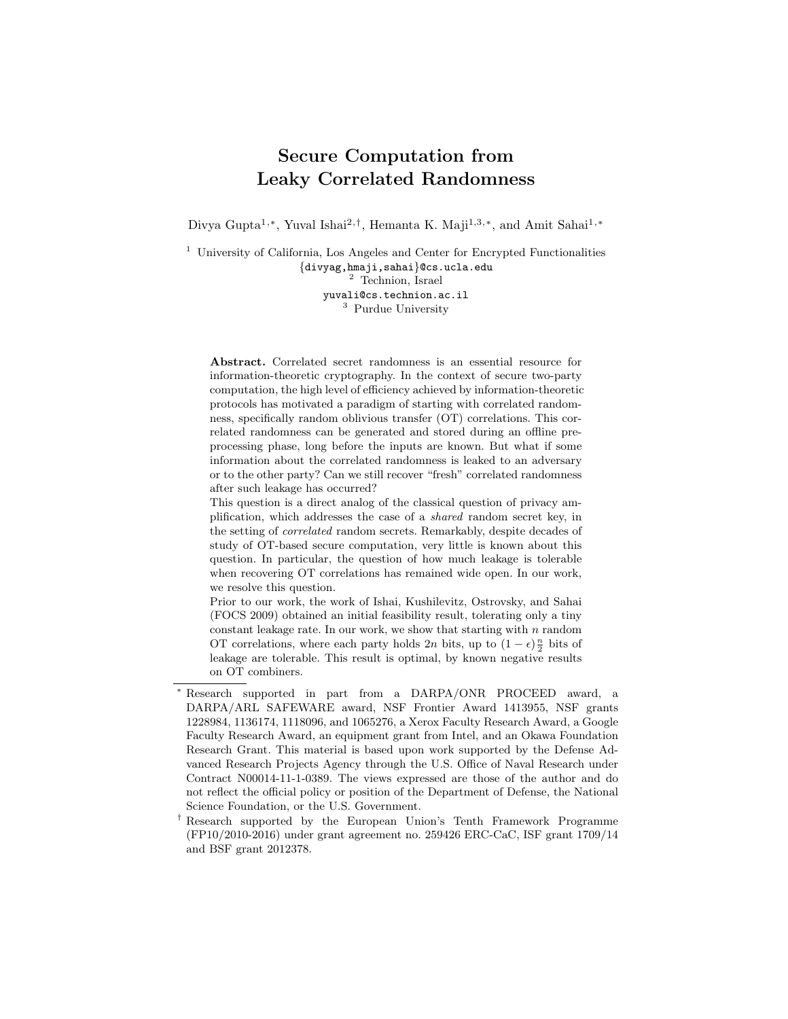# Secure Computation from Leaky Correlated Randomness

Divya Gupta<sup>1,\*</sup>, Yuval Ishai<sup>2,†</sup>, Hemanta K. Maji<sup>1,3,\*</sup>, and Amit Sahai<sup>1,\*</sup>

<sup>1</sup> University of California, Los Angeles and Center for Encrypted Functionalities {divyag,hmaji,sahai}@cs.ucla.edu <sup>2</sup> Technion, Israel yuvali@cs.technion.ac.il <sup>3</sup> Purdue University

Abstract. Correlated secret randomness is an essential resource for information-theoretic cryptography. In the context of secure two-party computation, the high level of efficiency achieved by information-theoretic protocols has motivated a paradigm of starting with correlated randomness, specifically random oblivious transfer (OT) correlations. This correlated randomness can be generated and stored during an offline preprocessing phase, long before the inputs are known. But what if some information about the correlated randomness is leaked to an adversary or to the other party? Can we still recover "fresh" correlated randomness after such leakage has occurred?

This question is a direct analog of the classical question of privacy amplification, which addresses the case of a shared random secret key, in the setting of correlated random secrets. Remarkably, despite decades of study of OT-based secure computation, very little is known about this question. In particular, the question of how much leakage is tolerable when recovering OT correlations has remained wide open. In our work, we resolve this question.

Prior to our work, the work of Ishai, Kushilevitz, Ostrovsky, and Sahai (FOCS 2009) obtained an initial feasibility result, tolerating only a tiny constant leakage rate. In our work, we show that starting with  $n$  random OT correlations, where each party holds  $2n$  bits, up to  $(1 - \epsilon) \frac{n}{2}$  bits of leakage are tolerable. This result is optimal, by known negative results on OT combiners.

Research supported in part from a DARPA/ONR PROCEED award, a DARPA/ARL SAFEWARE award, NSF Frontier Award 1413955, NSF grants 1228984, 1136174, 1118096, and 1065276, a Xerox Faculty Research Award, a Google Faculty Research Award, an equipment grant from Intel, and an Okawa Foundation Research Grant. This material is based upon work supported by the Defense Advanced Research Projects Agency through the U.S. Office of Naval Research under Contract N00014-11-1-0389. The views expressed are those of the author and do not reflect the official policy or position of the Department of Defense, the National Science Foundation, or the U.S. Government.

<sup>†</sup> Research supported by the European Union's Tenth Framework Programme (FP10/2010-2016) under grant agreement no. 259426 ERC-CaC, ISF grant 1709/14 and BSF grant 2012378.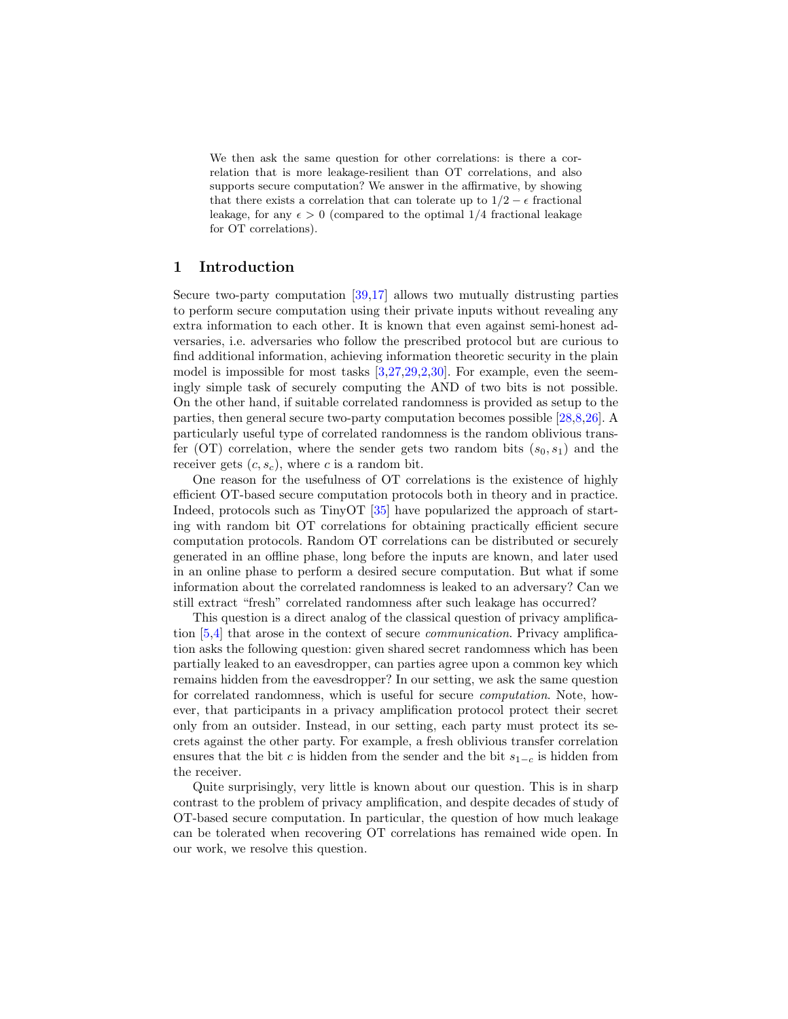We then ask the same question for other correlations: is there a correlation that is more leakage-resilient than OT correlations, and also supports secure computation? We answer in the affirmative, by showing that there exists a correlation that can tolerate up to  $1/2 - \epsilon$  fractional leakage, for any  $\epsilon > 0$  (compared to the optimal 1/4 fractional leakage for OT correlations).

### 1 Introduction

Secure two-party computation [\[39,](#page-19-0)[17\]](#page-19-1) allows two mutually distrusting parties to perform secure computation using their private inputs without revealing any extra information to each other. It is known that even against semi-honest adversaries, i.e. adversaries who follow the prescribed protocol but are curious to find additional information, achieving information theoretic security in the plain model is impossible for most tasks [\[3,](#page-18-0)[27,](#page-19-2)[29](#page-19-3)[,2,](#page-18-1)[30\]](#page-19-4). For example, even the seemingly simple task of securely computing the AND of two bits is not possible. On the other hand, if suitable correlated randomness is provided as setup to the parties, then general secure two-party computation becomes possible [\[28,](#page-19-5)[8,](#page-18-2)[26\]](#page-19-6). A particularly useful type of correlated randomness is the random oblivious transfer (OT) correlation, where the sender gets two random bits  $(s_0, s_1)$  and the receiver gets  $(c, s_c)$ , where c is a random bit.

One reason for the usefulness of OT correlations is the existence of highly efficient OT-based secure computation protocols both in theory and in practice. Indeed, protocols such as TinyOT [\[35\]](#page-19-7) have popularized the approach of starting with random bit OT correlations for obtaining practically efficient secure computation protocols. Random OT correlations can be distributed or securely generated in an offline phase, long before the inputs are known, and later used in an online phase to perform a desired secure computation. But what if some information about the correlated randomness is leaked to an adversary? Can we still extract "fresh" correlated randomness after such leakage has occurred?

This question is a direct analog of the classical question of privacy amplification [\[5,](#page-18-3)[4\]](#page-18-4) that arose in the context of secure communication. Privacy amplification asks the following question: given shared secret randomness which has been partially leaked to an eavesdropper, can parties agree upon a common key which remains hidden from the eavesdropper? In our setting, we ask the same question for correlated randomness, which is useful for secure computation. Note, however, that participants in a privacy amplification protocol protect their secret only from an outsider. Instead, in our setting, each party must protect its secrets against the other party. For example, a fresh oblivious transfer correlation ensures that the bit c is hidden from the sender and the bit  $s_{1-c}$  is hidden from the receiver.

Quite surprisingly, very little is known about our question. This is in sharp contrast to the problem of privacy amplification, and despite decades of study of OT-based secure computation. In particular, the question of how much leakage can be tolerated when recovering OT correlations has remained wide open. In our work, we resolve this question.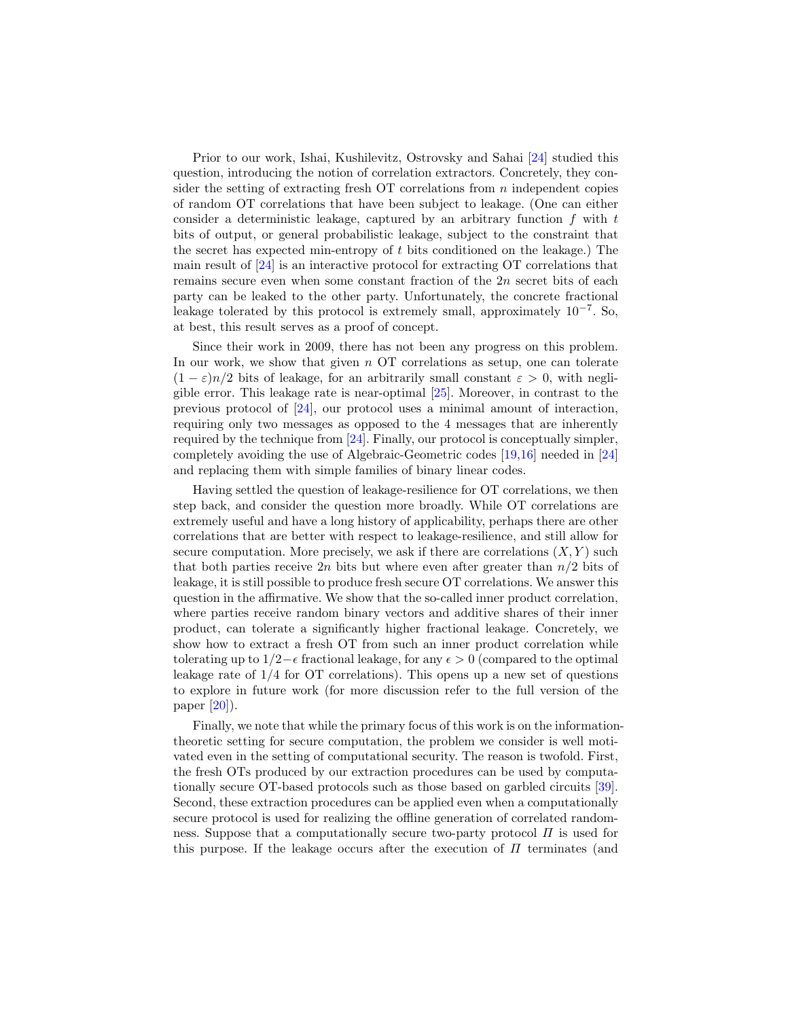Prior to our work, Ishai, Kushilevitz, Ostrovsky and Sahai [\[24\]](#page-19-8) studied this question, introducing the notion of correlation extractors. Concretely, they consider the setting of extracting fresh  $\overline{OT}$  correlations from n independent copies of random OT correlations that have been subject to leakage. (One can either consider a deterministic leakage, captured by an arbitrary function  $f$  with  $t$ bits of output, or general probabilistic leakage, subject to the constraint that the secret has expected min-entropy of  $t$  bits conditioned on the leakage.) The main result of [\[24\]](#page-19-8) is an interactive protocol for extracting OT correlations that remains secure even when some constant fraction of the  $2n$  secret bits of each party can be leaked to the other party. Unfortunately, the concrete fractional leakage tolerated by this protocol is extremely small, approximately 10−<sup>7</sup> . So, at best, this result serves as a proof of concept.

Since their work in 2009, there has not been any progress on this problem. In our work, we show that given  $n$  OT correlations as setup, one can tolerate  $(1 - \varepsilon)n/2$  bits of leakage, for an arbitrarily small constant  $\varepsilon > 0$ , with negligible error. This leakage rate is near-optimal  $[25]$ . Moreover, in contrast to the previous protocol of [\[24\]](#page-19-8), our protocol uses a minimal amount of interaction, requiring only two messages as opposed to the 4 messages that are inherently required by the technique from [\[24\]](#page-19-8). Finally, our protocol is conceptually simpler, completely avoiding the use of Algebraic-Geometric codes [\[19,](#page-19-10)[16\]](#page-18-5) needed in [\[24\]](#page-19-8) and replacing them with simple families of binary linear codes.

Having settled the question of leakage-resilience for OT correlations, we then step back, and consider the question more broadly. While OT correlations are extremely useful and have a long history of applicability, perhaps there are other correlations that are better with respect to leakage-resilience, and still allow for secure computation. More precisely, we ask if there are correlations  $(X, Y)$  such that both parties receive  $2n$  bits but where even after greater than  $n/2$  bits of leakage, it is still possible to produce fresh secure OT correlations. We answer this question in the affirmative. We show that the so-called inner product correlation, where parties receive random binary vectors and additive shares of their inner product, can tolerate a significantly higher fractional leakage. Concretely, we show how to extract a fresh OT from such an inner product correlation while tolerating up to  $1/2-\epsilon$  fractional leakage, for any  $\epsilon > 0$  (compared to the optimal leakage rate of 1/4 for OT correlations). This opens up a new set of questions to explore in future work (for more discussion refer to the full version of the paper [\[20\]](#page-19-11)).

Finally, we note that while the primary focus of this work is on the informationtheoretic setting for secure computation, the problem we consider is well motivated even in the setting of computational security. The reason is twofold. First, the fresh OTs produced by our extraction procedures can be used by computationally secure OT-based protocols such as those based on garbled circuits [\[39\]](#page-19-0). Second, these extraction procedures can be applied even when a computationally secure protocol is used for realizing the offline generation of correlated randomness. Suppose that a computationally secure two-party protocol  $\Pi$  is used for this purpose. If the leakage occurs after the execution of  $\Pi$  terminates (and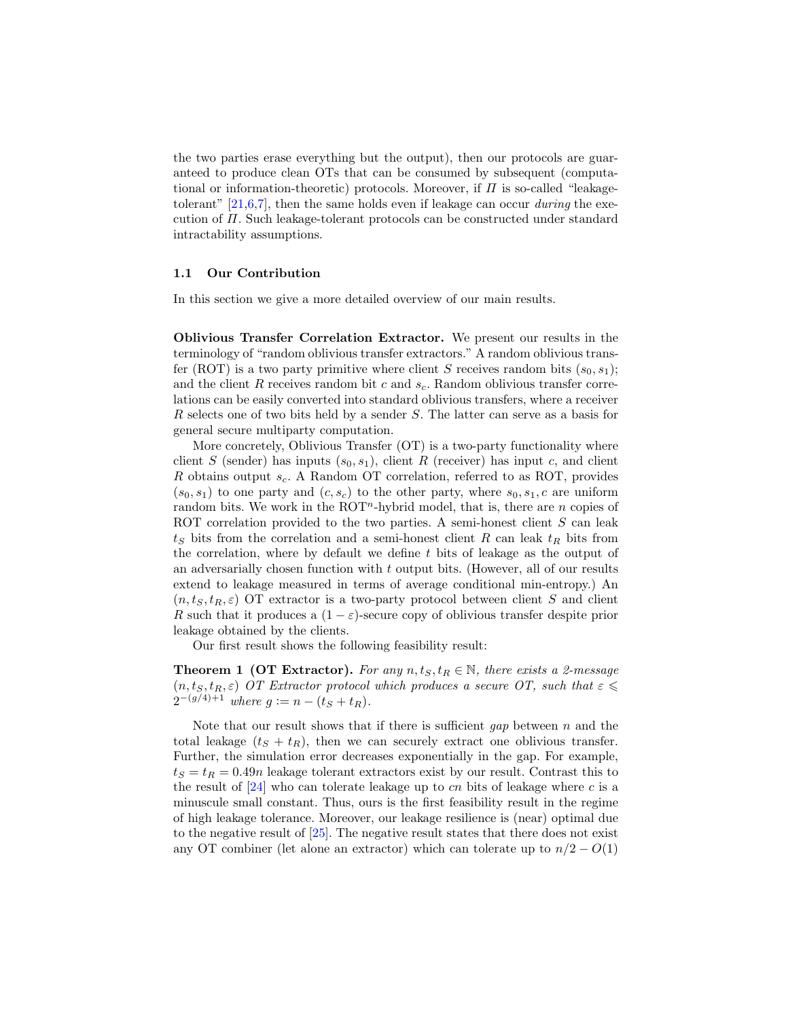the two parties erase everything but the output), then our protocols are guaranteed to produce clean OTs that can be consumed by subsequent (computational or information-theoretic) protocols. Moreover, if  $\Pi$  is so-called "leakagetolerant"  $[21,6,7]$  $[21,6,7]$  $[21,6,7]$ , then the same holds even if leakage can occur *during* the execution of Π. Such leakage-tolerant protocols can be constructed under standard intractability assumptions.

### 1.1 Our Contribution

In this section we give a more detailed overview of our main results.

Oblivious Transfer Correlation Extractor. We present our results in the terminology of "random oblivious transfer extractors." A random oblivious transfer (ROT) is a two party primitive where client S receives random bits  $(s_0, s_1)$ ; and the client R receives random bit c and  $s_c$ . Random oblivious transfer correlations can be easily converted into standard oblivious transfers, where a receiver R selects one of two bits held by a sender S. The latter can serve as a basis for general secure multiparty computation.

More concretely, Oblivious Transfer (OT) is a two-party functionality where client S (sender) has inputs  $(s_0, s_1)$ , client R (receiver) has input c, and client R obtains output  $s_c$ . A Random OT correlation, referred to as ROT, provides  $(s_0, s_1)$  to one party and  $(c, s_c)$  to the other party, where  $s_0, s_1, c$  are uniform random bits. We work in the  $ROT<sup>n</sup>$ -hybrid model, that is, there are *n* copies of ROT correlation provided to the two parties. A semi-honest client  $S$  can leak  $t<sub>S</sub>$  bits from the correlation and a semi-honest client R can leak  $t<sub>R</sub>$  bits from the correlation, where by default we define t bits of leakage as the output of an adversarially chosen function with t output bits. (However, all of our results extend to leakage measured in terms of average conditional min-entropy.) An  $(n, t<sub>S</sub>, t<sub>R</sub>, \varepsilon)$  OT extractor is a two-party protocol between client S and client R such that it produces a  $(1 - \varepsilon)$ -secure copy of oblivious transfer despite prior leakage obtained by the clients.

<span id="page-3-0"></span>Our first result shows the following feasibility result:

**Theorem 1 (OT Extractor).** For any  $n, t_S, t_R \in \mathbb{N}$ , there exists a 2-message  $(n, t<sub>S</sub>, t<sub>R</sub>, \varepsilon)$  OT Extractor protocol which produces a secure OT, such that  $\varepsilon \leq$  $2^{-(g/4)+1}$  where  $g := n - (t_S + t_R)$ .

Note that our result shows that if there is sufficient gap between  $n$  and the total leakage  $(t<sub>S</sub> + t<sub>R</sub>)$ , then we can securely extract one oblivious transfer. Further, the simulation error decreases exponentially in the gap. For example,  $t<sub>S</sub> = t<sub>R</sub> = 0.49n$  leakage tolerant extractors exist by our result. Contrast this to the result of  $[24]$  who can tolerate leakage up to cn bits of leakage where c is a minuscule small constant. Thus, ours is the first feasibility result in the regime of high leakage tolerance. Moreover, our leakage resilience is (near) optimal due to the negative result of [\[25\]](#page-19-9). The negative result states that there does not exist any OT combiner (let alone an extractor) which can tolerate up to  $n/2 - O(1)$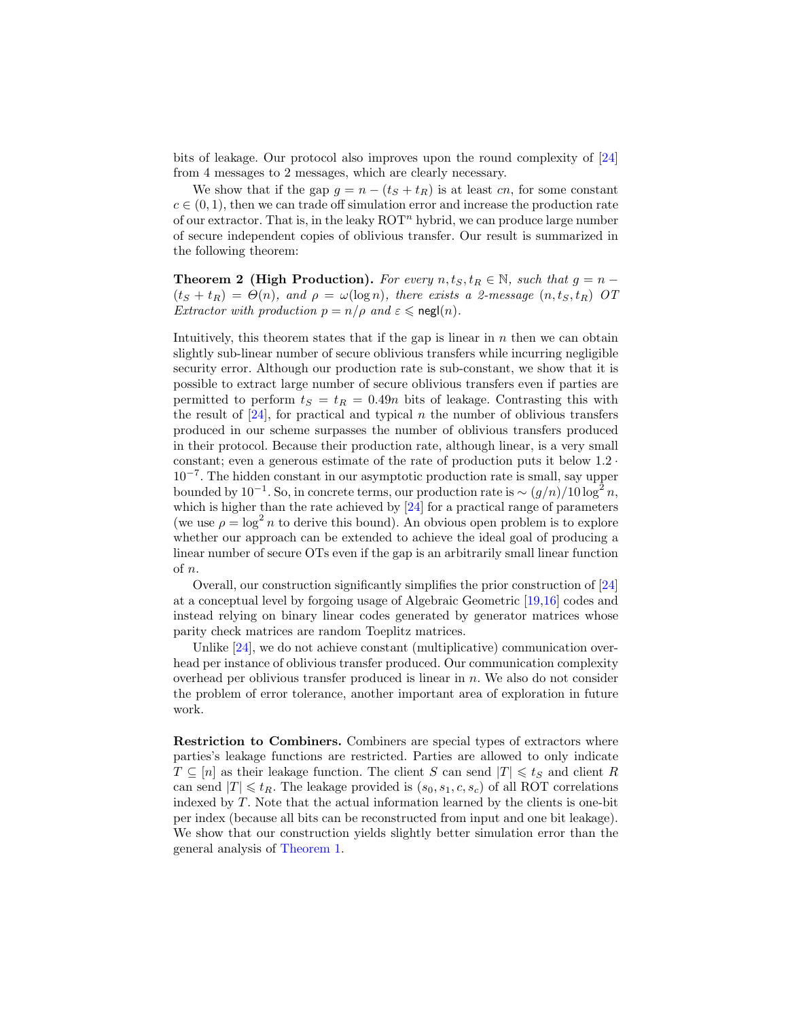bits of leakage. Our protocol also improves upon the round complexity of [\[24\]](#page-19-8) from 4 messages to 2 messages, which are clearly necessary.

We show that if the gap  $g = n - (t_S + t_R)$  is at least cn, for some constant  $c \in (0, 1)$ , then we can trade off simulation error and increase the production rate of our extractor. That is, in the leaky  $\mathrm{ROT}^n$  hybrid, we can produce large number of secure independent copies of oblivious transfer. Our result is summarized in the following theorem:

<span id="page-4-0"></span>**Theorem 2 (High Production).** For every  $n, t<sub>S</sub>, t<sub>R</sub> \in \mathbb{N}$ , such that  $g = n (t<sub>S</sub> + t<sub>R</sub>) = \Theta(n)$ , and  $\rho = \omega(\log n)$ , there exists a 2-message  $(n, t<sub>S</sub>, t<sub>R</sub>)$  OT *Extractor with production*  $p = n/\rho$  and  $\varepsilon \leq \text{negl}(n)$ .

Intuitively, this theorem states that if the gap is linear in  $n$  then we can obtain slightly sub-linear number of secure oblivious transfers while incurring negligible security error. Although our production rate is sub-constant, we show that it is possible to extract large number of secure oblivious transfers even if parties are permitted to perform  $t_S = t_R = 0.49n$  bits of leakage. Contrasting this with the result of  $[24]$ , for practical and typical n the number of oblivious transfers produced in our scheme surpasses the number of oblivious transfers produced in their protocol. Because their production rate, although linear, is a very small constant; even a generous estimate of the rate of production puts it below 1.2 · 10<sup>−</sup><sup>7</sup> . The hidden constant in our asymptotic production rate is small, say upper bounded by  $10^{-1}$ . So, in concrete terms, our production rate is  $\sim (g/n)/10 \log^2 n$ , which is higher than the rate achieved by [\[24\]](#page-19-8) for a practical range of parameters (we use  $\rho = \log^2 n$  to derive this bound). An obvious open problem is to explore whether our approach can be extended to achieve the ideal goal of producing a linear number of secure OTs even if the gap is an arbitrarily small linear function of n.

Overall, our construction significantly simplifies the prior construction of [\[24\]](#page-19-8) at a conceptual level by forgoing usage of Algebraic Geometric [\[19,](#page-19-10)[16\]](#page-18-5) codes and instead relying on binary linear codes generated by generator matrices whose parity check matrices are random Toeplitz matrices.

Unlike [\[24\]](#page-19-8), we do not achieve constant (multiplicative) communication overhead per instance of oblivious transfer produced. Our communication complexity overhead per oblivious transfer produced is linear in  $n$ . We also do not consider the problem of error tolerance, another important area of exploration in future work.

Restriction to Combiners. Combiners are special types of extractors where parties's leakage functions are restricted. Parties are allowed to only indicate  $T \subseteq [n]$  as their leakage function. The client S can send  $|T| \leq t_S$  and client R can send  $|T| \leq t_R$ . The leakage provided is  $(s_0, s_1, c, s_c)$  of all ROT correlations indexed by  $T$ . Note that the actual information learned by the clients is one-bit per index (because all bits can be reconstructed from input and one bit leakage). We show that our construction yields slightly better simulation error than the general analysis of [Theorem 1.](#page-3-0)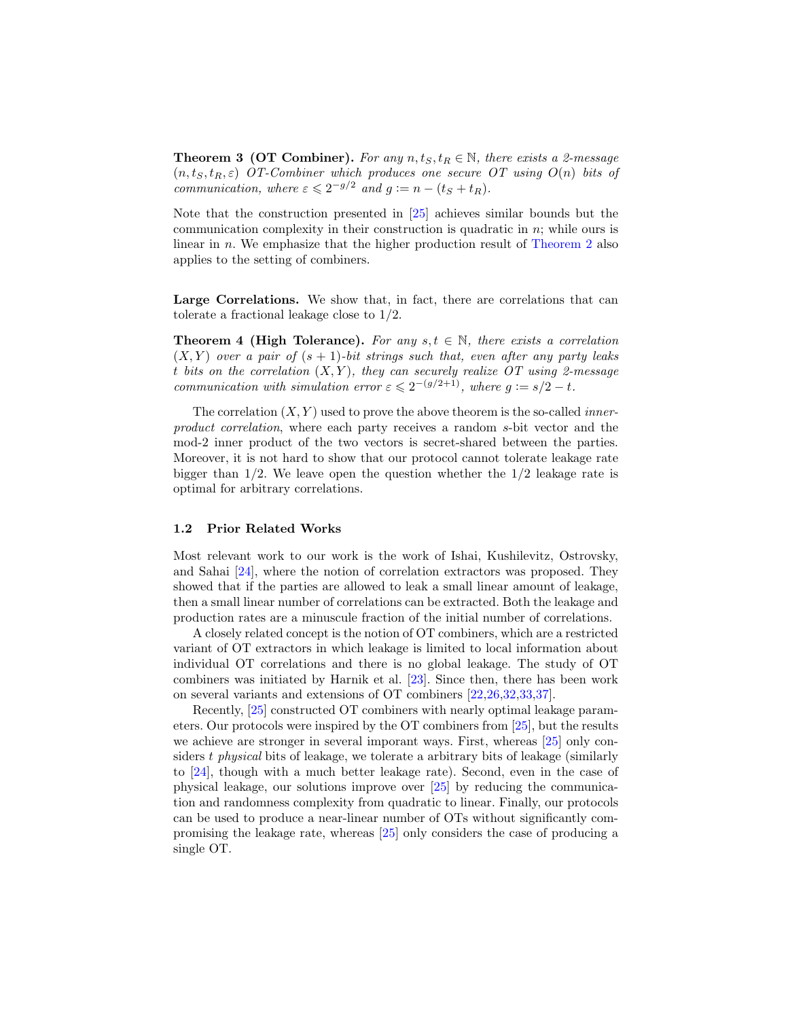**Theorem 3 (OT Combiner).** For any  $n, t<sub>S</sub>, t<sub>R</sub> \in \mathbb{N}$ , there exists a 2-message  $(n, t<sub>S</sub>, t<sub>R</sub>, \varepsilon)$  OT-Combiner which produces one secure OT using  $O(n)$  bits of communication, where  $\varepsilon \leqslant 2^{-g/2}$  and  $g := n - (t_S + t_R)$ .

Note that the construction presented in [\[25\]](#page-19-9) achieves similar bounds but the communication complexity in their construction is quadratic in n; while ours is linear in n. We emphasize that the higher production result of [Theorem 2](#page-4-0) also applies to the setting of combiners.

<span id="page-5-0"></span>Large Correlations. We show that, in fact, there are correlations that can tolerate a fractional leakage close to 1/2.

**Theorem 4 (High Tolerance).** For any  $s, t \in \mathbb{N}$ , there exists a correlation  $(X, Y)$  over a pair of  $(s + 1)$ -bit strings such that, even after any party leaks t bits on the correlation  $(X, Y)$ , they can securely realize OT using 2-message communication with simulation error  $\varepsilon \leq 2^{-(g/2+1)}$ , where  $g := s/2 - t$ .

The correlation  $(X, Y)$  used to prove the above theorem is the so-called *inner*product correlation, where each party receives a random s-bit vector and the mod-2 inner product of the two vectors is secret-shared between the parties. Moreover, it is not hard to show that our protocol cannot tolerate leakage rate bigger than  $1/2$ . We leave open the question whether the  $1/2$  leakage rate is optimal for arbitrary correlations.

### 1.2 Prior Related Works

Most relevant work to our work is the work of Ishai, Kushilevitz, Ostrovsky, and Sahai [\[24\]](#page-19-8), where the notion of correlation extractors was proposed. They showed that if the parties are allowed to leak a small linear amount of leakage, then a small linear number of correlations can be extracted. Both the leakage and production rates are a minuscule fraction of the initial number of correlations.

A closely related concept is the notion of OT combiners, which are a restricted variant of OT extractors in which leakage is limited to local information about individual OT correlations and there is no global leakage. The study of OT combiners was initiated by Harnik et al. [\[23\]](#page-19-13). Since then, there has been work on several variants and extensions of OT combiners [\[22,](#page-19-14)[26](#page-19-6)[,32,](#page-19-15)[33,](#page-19-16)[37\]](#page-19-17).

Recently, [\[25\]](#page-19-9) constructed OT combiners with nearly optimal leakage parameters. Our protocols were inspired by the OT combiners from [\[25\]](#page-19-9), but the results we achieve are stronger in several imporant ways. First, whereas [\[25\]](#page-19-9) only considers  $t$  physical bits of leakage, we tolerate a arbitrary bits of leakage (similarly to [\[24\]](#page-19-8), though with a much better leakage rate). Second, even in the case of physical leakage, our solutions improve over [\[25\]](#page-19-9) by reducing the communication and randomness complexity from quadratic to linear. Finally, our protocols can be used to produce a near-linear number of OTs without significantly compromising the leakage rate, whereas [\[25\]](#page-19-9) only considers the case of producing a single OT.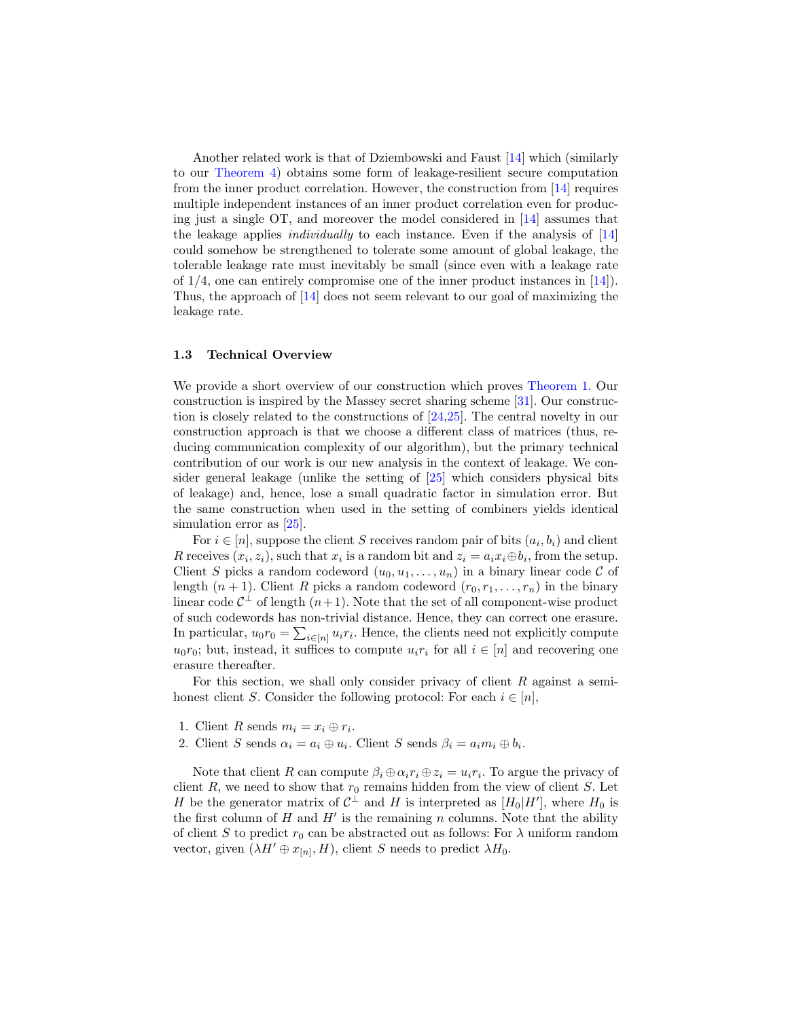Another related work is that of Dziembowski and Faust [\[14\]](#page-18-8) which (similarly to our [Theorem 4\)](#page-5-0) obtains some form of leakage-resilient secure computation from the inner product correlation. However, the construction from [\[14\]](#page-18-8) requires multiple independent instances of an inner product correlation even for producing just a single OT, and moreover the model considered in [\[14\]](#page-18-8) assumes that the leakage applies individually to each instance. Even if the analysis of [\[14\]](#page-18-8) could somehow be strengthened to tolerate some amount of global leakage, the tolerable leakage rate must inevitably be small (since even with a leakage rate of  $1/4$ , one can entirely compromise one of the inner product instances in [\[14\]](#page-18-8)). Thus, the approach of [\[14\]](#page-18-8) does not seem relevant to our goal of maximizing the leakage rate.

### 1.3 Technical Overview

We provide a short overview of our construction which proves [Theorem 1.](#page-3-0) Our construction is inspired by the Massey secret sharing scheme [\[31\]](#page-19-18). Our construction is closely related to the constructions of [\[24,](#page-19-8)[25\]](#page-19-9). The central novelty in our construction approach is that we choose a different class of matrices (thus, reducing communication complexity of our algorithm), but the primary technical contribution of our work is our new analysis in the context of leakage. We consider general leakage (unlike the setting of [\[25\]](#page-19-9) which considers physical bits of leakage) and, hence, lose a small quadratic factor in simulation error. But the same construction when used in the setting of combiners yields identical simulation error as  $[25]$ .

For  $i \in [n]$ , suppose the client S receives random pair of bits  $(a_i, b_i)$  and client R receives  $(x_i, z_i)$ , such that  $x_i$  is a random bit and  $z_i = a_i x_i \oplus b_i$ , from the setup. Client S picks a random codeword  $(u_0, u_1, \ldots, u_n)$  in a binary linear code C of length  $(n + 1)$ . Client R picks a random codeword  $(r_0, r_1, \ldots, r_n)$  in the binary linear code  $C^{\perp}$  of length  $(n+1)$ . Note that the set of all component-wise product of such codewords has non-trivial distance. Hence, they can correct one erasure. In particular,  $u_0 r_0 = \sum_{i \in [n]} u_i r_i$ . Hence, the clients need not explicitly compute  $u_0r_0$ ; but, instead, it suffices to compute  $u_ir_i$  for all  $i \in [n]$  and recovering one erasure thereafter.

For this section, we shall only consider privacy of client R against a semihonest client S. Consider the following protocol: For each  $i \in [n]$ ,

- 1. Client R sends  $m_i = x_i \oplus r_i$ .
- 2. Client S sends  $\alpha_i = a_i \oplus u_i$ . Client S sends  $\beta_i = a_i m_i \oplus b_i$ .

Note that client R can compute  $\beta_i \oplus \alpha_i r_i \oplus z_i = u_i r_i$ . To argue the privacy of client R, we need to show that  $r_0$  remains hidden from the view of client S. Let H be the generator matrix of  $C^{\perp}$  and H is interpreted as  $[H_0|H']$ , where  $H_0$  is the first column of  $H$  and  $H'$  is the remaining n columns. Note that the ability of client S to predict  $r_0$  can be abstracted out as follows: For  $\lambda$  uniform random vector, given  $(\lambda H' \oplus x_{[n]}, H)$ , client S needs to predict  $\lambda H_0$ .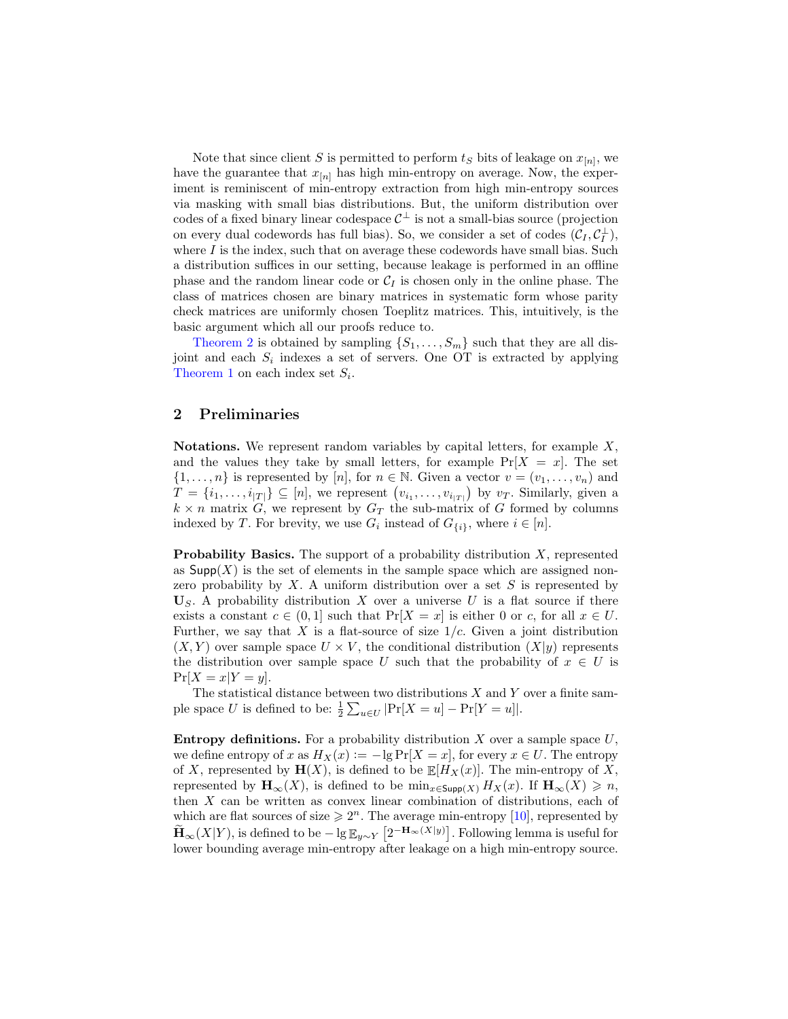Note that since client S is permitted to perform  $t_S$  bits of leakage on  $x_{[n]}$ , we have the guarantee that  $x_{[n]}$  has high min-entropy on average. Now, the experiment is reminiscent of min-entropy extraction from high min-entropy sources via masking with small bias distributions. But, the uniform distribution over codes of a fixed binary linear codespace  $\mathcal{C}^{\perp}$  is not a small-bias source (projection on every dual codewords has full bias). So, we consider a set of codes  $(C_I, C_I^{\perp})$ , where  $I$  is the index, such that on average these codewords have small bias. Such a distribution suffices in our setting, because leakage is performed in an offline phase and the random linear code or  $C_I$  is chosen only in the online phase. The class of matrices chosen are binary matrices in systematic form whose parity check matrices are uniformly chosen Toeplitz matrices. This, intuitively, is the basic argument which all our proofs reduce to.

[Theorem 2](#page-4-0) is obtained by sampling  $\{S_1, \ldots, S_m\}$  such that they are all disjoint and each  $S_i$  indexes a set of servers. One OT is extracted by applying [Theorem 1](#page-3-0) on each index set  $S_i$ .

# 2 Preliminaries

**Notations.** We represent random variables by capital letters, for example  $X$ , and the values they take by small letters, for example  $Pr[X = x]$ . The set  $\{1,\ldots,n\}$  is represented by [n], for  $n \in \mathbb{N}$ . Given a vector  $v = (v_1,\ldots,v_n)$  and  $T = \{i_1, \ldots, i_{|T|}\} \subseteq [n]$ , we represent  $(v_{i_1}, \ldots, v_{i_{|T|}})$  by  $v_T$ . Similarly, given a  $k \times n$  matrix G, we represent by  $G_T$  the sub-matrix of G formed by columns indexed by T. For brevity, we use  $G_i$  instead of  $G_{\{i\}}$ , where  $i \in [n]$ .

**Probability Basics.** The support of a probability distribution  $X$ , represented as  $\text{Supp}(X)$  is the set of elements in the sample space which are assigned nonzero probability by  $X$ . A uniform distribution over a set  $S$  is represented by  $U<sub>S</sub>$ . A probability distribution X over a universe U is a flat source if there exists a constant  $c \in (0,1]$  such that  $Pr[X = x]$  is either 0 or c, for all  $x \in U$ . Further, we say that X is a flat-source of size  $1/c$ . Given a joint distribution  $(X, Y)$  over sample space  $U \times V$ , the conditional distribution  $(X|y)$  represents the distribution over sample space U such that the probability of  $x \in U$  is  $Pr[X = x|Y = y].$ 

The statistical distance between two distributions  $X$  and  $Y$  over a finite sample space U is defined to be:  $\frac{1}{2} \sum_{u \in U} |\Pr[X = u] - \Pr[Y = u]|$ .

<span id="page-7-0"></span>**Entropy definitions.** For a probability distribution X over a sample space  $U$ , we define entropy of x as  $H_X(x) := -\lg \Pr[X = x]$ , for every  $x \in U$ . The entropy of X, represented by  $\mathbf{H}(X)$ , is defined to be  $\mathbb{E}[H_X(x)]$ . The min-entropy of X, represented by  $\mathbf{H}_{\infty}(X)$ , is defined to be  $\min_{x \in \mathsf{Supp}(X)} H_X(x)$ . If  $\mathbf{H}_{\infty}(X) \geq n$ , then X can be written as convex linear combination of distributions, each of which are flat sources of size  $\geq 2^n$ . The average min-entropy [\[10\]](#page-18-9), represented by  $\widetilde{\mathbf{H}}_{\infty}(X|Y)$ , is defined to be  $-\lg \mathbb{E}_{y\sim Y}\left[2^{-\mathbf{H}_{\infty}(X|y)}\right]$ . Following lemma is useful for lower bounding average min-entropy after leakage on a high min-entropy source.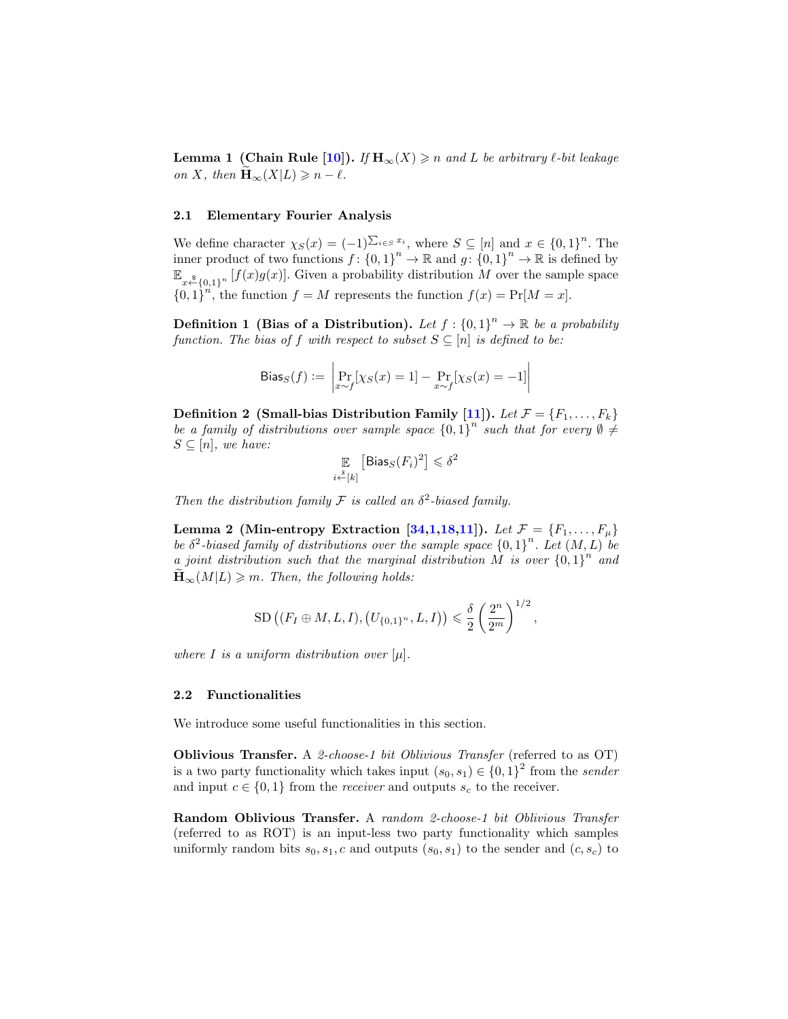**Lemma 1 (Chain Rule [\[10\]](#page-18-9)).** If  $H_{\infty}(X) \geq n$  and L be arbitrary  $\ell$ -bit leakage on X, then  $\widetilde{\mathbf{H}}_{\infty}(X|L) \geqslant n - \ell$ .

## 2.1 Elementary Fourier Analysis

We define character  $\chi_S(x) = (-1)^{\sum_{i \in S} x_i}$ , where  $S \subseteq [n]$  and  $x \in \{0,1\}^n$ . The inner product of two functions  $f: \{0,1\}^n \to \mathbb{R}$  and  $g: \{0,1\}^n \to \mathbb{R}$  is defined by  $\mathbb{E}_{x \leftarrow{\$}\{0,1\}^n} [f(x)g(x)]$ . Given a probability distribution M over the sample space  ${0,1}^n$ , the function  $f = M$  represents the function  $f(x) = Pr[M = x]$ .

**Definition 1** (Bias of a Distribution). Let  $f: \{0,1\}^n \to \mathbb{R}$  be a probability function. The bias of f with respect to subset  $S \subseteq [n]$  is defined to be:

Bias<sub>S</sub>(f) := 
$$
\left| \Pr_{x \sim f} [\chi_S(x) = 1] - \Pr_{x \sim f} [\chi_S(x) = -1] \right|
$$

Definition 2 (Small-bias Distribution Family [\[11\]](#page-18-10)). Let  $\mathcal{F} = \{F_1, \ldots, F_k\}$ be a family of distributions over sample space  ${0,1}^n$  such that for every  $\emptyset \neq$  $S \subseteq [n]$ , we have:

$$
\mathop{\mathbb{E}}_{i \stackrel{s}{\leftarrow}[k]} \left[ \mathsf{Bias}_S(F_i)^2 \right] \leqslant \delta^2
$$

Then the distribution family  $\mathcal F$  is called an  $\delta^2$ -biased family.

<span id="page-8-0"></span>Lemma 2 (Min-entropy Extraction [\[34](#page-19-19)[,1](#page-18-11)[,18,](#page-19-20)[11\]](#page-18-10)). Let  $\mathcal{F} = \{F_1, \ldots, F_\mu\}$ be  $\delta^2$ -biased family of distributions over the sample space  $\{0,1\}^n$ . Let  $(M,L)$  be a joint distribution such that the marginal distribution M is over  ${0,1}^n$  and  $\mathbf{H}_{\infty}(M|L) \geqslant m$ . Then, the following holds:

SD 
$$
((F_I \oplus M, L, I), (U_{\{0,1\}^n}, L, I)) \leq \frac{\delta}{2} \left(\frac{2^n}{2^m}\right)^{1/2}
$$
,

where I is a uniform distribution over  $[\mu]$ .

#### 2.2 Functionalities

We introduce some useful functionalities in this section.

Oblivious Transfer. A 2-choose-1 bit Oblivious Transfer (referred to as OT) is a two party functionality which takes input  $(s_0, s_1) \in \{0, 1\}^2$  from the sender and input  $c \in \{0, 1\}$  from the *receiver* and outputs  $s_c$  to the receiver.

Random Oblivious Transfer. A random 2-choose-1 bit Oblivious Transfer (referred to as ROT) is an input-less two party functionality which samples uniformly random bits  $s_0, s_1, c$  and outputs  $(s_0, s_1)$  to the sender and  $(c, s_c)$  to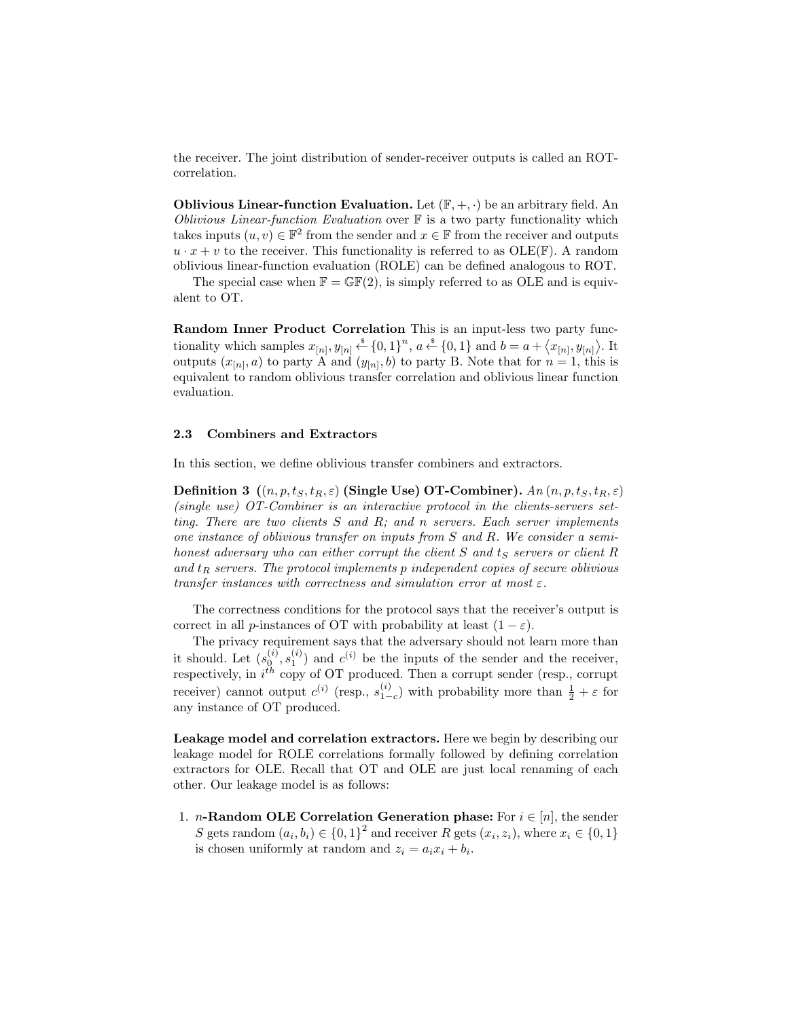the receiver. The joint distribution of sender-receiver outputs is called an ROTcorrelation.

**Oblivious Linear-function Evaluation.** Let  $(\mathbb{F}, +, \cdot)$  be an arbitrary field. An Oblivious Linear-function Evaluation over  $\mathbb F$  is a two party functionality which takes inputs  $(u, v) \in \mathbb{F}^2$  from the sender and  $x \in \mathbb{F}$  from the receiver and outputs  $u \cdot x + v$  to the receiver. This functionality is referred to as OLE(F). A random oblivious linear-function evaluation (ROLE) can be defined analogous to ROT.

The special case when  $\mathbb{F} = \mathbb{GF}(2)$ , is simply referred to as OLE and is equivalent to OT.

Random Inner Product Correlation This is an input-less two party functionality which samples  $x_{[n]}, y_{[n]} \xleftarrow{\$} \{0,1\}^n$ ,  $a \xleftarrow{\$} \{0,1\}$  and  $b = a + \langle x_{[n]}, y_{[n]} \rangle$ . It outputs  $(x_{[n]}, a)$  to party A and  $(y_{[n]}, b)$  to party B. Note that for  $n = 1$ , this is equivalent to random oblivious transfer correlation and oblivious linear function evaluation.

#### 2.3 Combiners and Extractors

In this section, we define oblivious transfer combiners and extractors.

Definition 3  $((n, p, t_S, t_R, \varepsilon)$  (Single Use) OT-Combiner).  $An (n, p, t_S, t_R, \varepsilon)$ (single use) OT-Combiner is an interactive protocol in the clients-servers setting. There are two clients  $S$  and  $R$ ; and  $n$  servers. Each server implements one instance of oblivious transfer on inputs from S and R. We consider a semihonest adversary who can either corrupt the client  $S$  and  $t_S$  servers or client  $R$ and  $t_R$  servers. The protocol implements p independent copies of secure oblivious transfer instances with correctness and simulation error at most  $\varepsilon$ .

The correctness conditions for the protocol says that the receiver's output is correct in all p-instances of OT with probability at least  $(1 - \varepsilon)$ .

The privacy requirement says that the adversary should not learn more than it should. Let  $(s_0^{(i)}, s_1^{(i)})$  and  $c^{(i)}$  be the inputs of the sender and the receiver, respectively, in  $i^{th}$  copy of OT produced. Then a corrupt sender (resp., corrupt receiver) cannot output  $c^{(i)}$  (resp.,  $s_{1-c}^{(i)}$ ) with probability more than  $\frac{1}{2} + \varepsilon$  for any instance of OT produced.

Leakage model and correlation extractors. Here we begin by describing our leakage model for ROLE correlations formally followed by defining correlation extractors for OLE. Recall that OT and OLE are just local renaming of each other. Our leakage model is as follows:

1. *n*-Random OLE Correlation Generation phase: For  $i \in [n]$ , the sender S gets random  $(a_i, b_i) \in \{0, 1\}^2$  and receiver R gets  $(x_i, z_i)$ , where  $x_i \in \{0, 1\}$ is chosen uniformly at random and  $z_i = a_i x_i + b_i$ .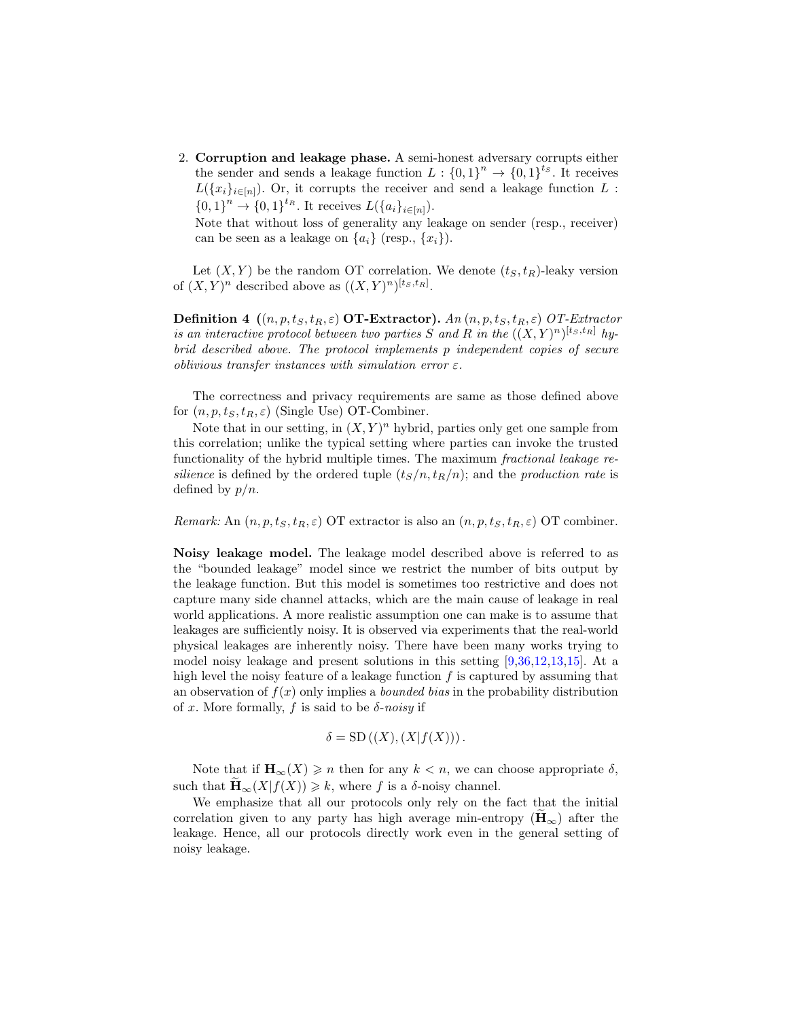2. Corruption and leakage phase. A semi-honest adversary corrupts either the sender and sends a leakage function  $L: \{0,1\}^n \to \{0,1\}^{ts}$ . It receives  $L({x_i}_{i\in[n]})$ . Or, it corrupts the receiver and send a leakage function L :  ${0,1}^n \to {0,1}^{t_R}$ . It receives  $L({a_i}_{i \in [n]})$ .

Note that without loss of generality any leakage on sender (resp., receiver) can be seen as a leakage on  $\{a_i\}$  (resp.,  $\{x_i\}$ ).

Let  $(X, Y)$  be the random OT correlation. We denote  $(t<sub>S</sub>, t<sub>R</sub>)$ -leaky version of  $(X, Y)^n$  described above as  $((X, Y)^n)^{[t_S, t_R]}$ .

**Definition 4**  $((n, p, t_S, t_R, \varepsilon)$  **OT-Extractor**). An  $(n, p, t_S, t_R, \varepsilon)$  *OT-Extractor* is an interactive protocol between two parties S and R in the  $((X,Y)^n)^{[t_S,t_R]}$  hybrid described above. The protocol implements p independent copies of secure oblivious transfer instances with simulation error  $\varepsilon$ .

The correctness and privacy requirements are same as those defined above for  $(n, p, t<sub>S</sub>, t<sub>R</sub>, \varepsilon)$  (Single Use) OT-Combiner.

Note that in our setting, in  $(X, Y)^n$  hybrid, parties only get one sample from this correlation; unlike the typical setting where parties can invoke the trusted functionality of the hybrid multiple times. The maximum fractional leakage resilience is defined by the ordered tuple  $(t_S/n, t_R/n)$ ; and the production rate is defined by  $p/n$ .

Remark: An  $(n, p, t<sub>S</sub>, t<sub>R</sub>, \varepsilon)$  OT extractor is also an  $(n, p, t<sub>S</sub>, t<sub>R</sub>, \varepsilon)$  OT combiner.

Noisy leakage model. The leakage model described above is referred to as the "bounded leakage" model since we restrict the number of bits output by the leakage function. But this model is sometimes too restrictive and does not capture many side channel attacks, which are the main cause of leakage in real world applications. A more realistic assumption one can make is to assume that leakages are sufficiently noisy. It is observed via experiments that the real-world physical leakages are inherently noisy. There have been many works trying to model noisy leakage and present solutions in this setting [\[9,](#page-18-12)[36](#page-19-21)[,12,](#page-18-13)[13,](#page-18-14)[15\]](#page-18-15). At a high level the noisy feature of a leakage function  $f$  is captured by assuming that an observation of  $f(x)$  only implies a *bounded bias* in the probability distribution of x. More formally, f is said to be  $\delta$ -noisy if

$$
\delta = SD((X), (X|f(X))).
$$

Note that if  $\mathbf{H}_{\infty}(X) \geq n$  then for any  $k < n$ , we can choose appropriate  $\delta$ , such that  $\mathbf{H}_{\infty}(X|f(X)) \geq k$ , where f is a  $\delta$ -noisy channel.

We emphasize that all our protocols only rely on the fact that the initial correlation given to any party has high average min-entropy  $(\mathbf{H}_{\infty})$  after the leakage. Hence, all our protocols directly work even in the general setting of noisy leakage.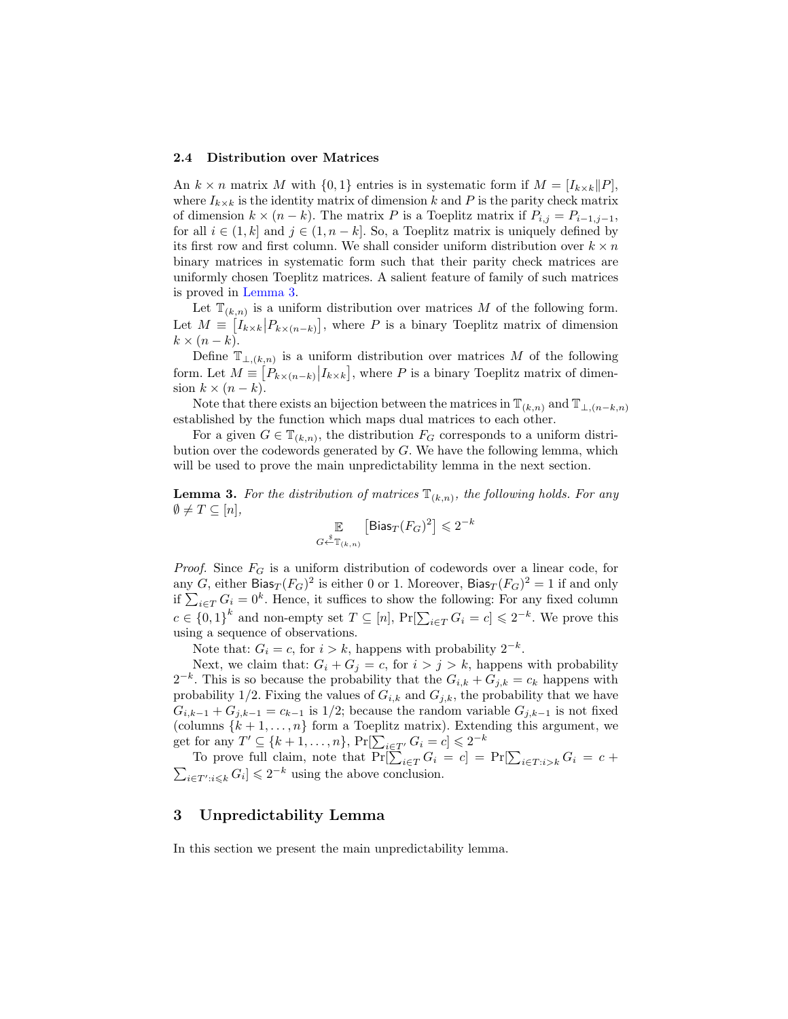#### 2.4 Distribution over Matrices

An  $k \times n$  matrix M with  $\{0, 1\}$  entries is in systematic form if  $M = [I_{k \times k} || P]$ , where  $I_{k\times k}$  is the identity matrix of dimension k and P is the parity check matrix of dimension  $k \times (n - k)$ . The matrix P is a Toeplitz matrix if  $P_{i,j} = P_{i-1,j-1}$ , for all  $i \in (1, k]$  and  $j \in (1, n - k]$ . So, a Toeplitz matrix is uniquely defined by its first row and first column. We shall consider uniform distribution over  $k \times n$ binary matrices in systematic form such that their parity check matrices are uniformly chosen Toeplitz matrices. A salient feature of family of such matrices is proved in [Lemma 3.](#page-11-0)

Let  $\mathbb{T}_{(k,n)}$  is a uniform distribution over matrices M of the following form. Let  $M = \left[I_{k \times k} | P_{k \times (n-k)}\right]$ , where P is a binary Toeplitz matrix of dimension  $k \times (n-k)$ .

Define  $\mathbb{T}_{\perp,(k,n)}$  is a uniform distribution over matrices M of the following form. Let  $M = [P_{k \times (n-k)} | I_{k \times k}]$ , where P is a binary Toeplitz matrix of dimension  $k \times (n-k)$ .

Note that there exists an bijection between the matrices in  $\mathbb{T}_{(k,n)}$  and  $\mathbb{T}_{\perp,(n-k,n)}$ established by the function which maps dual matrices to each other.

For a given  $G \in \mathbb{T}_{(k,n)}$ , the distribution  $F_G$  corresponds to a uniform distribution over the codewords generated by  $G$ . We have the following lemma, which will be used to prove the main unpredictability lemma in the next section.

<span id="page-11-0"></span>**Lemma 3.** For the distribution of matrices  $\mathbb{T}_{(k,n)}$ , the following holds. For any  $\emptyset \neq T \subseteq [n],$ 

$$
\mathop{\mathbb{E}}_{G \stackrel{s}{\leftarrow} \mathbb{T}_{(k,n)}} \left[ \text{Bias}_{T} (F_G)^2 \right] \leqslant 2^{-k}
$$

*Proof.* Since  $F_G$  is a uniform distribution of codewords over a linear code, for any G, either Bias $_T(F_G)^2$  is either 0 or 1. Moreover, Bias $_T(F_G)^2 = 1$  if and only if  $\sum_{i\in T} G_i = 0^k$ . Hence, it suffices to show the following: For any fixed column  $c \in \{0,1\}^k$  and non-empty set  $T \subseteq [n]$ ,  $\Pr[\sum_{i \in T} G_i = c] \leq 2^{-k}$ . We prove this using a sequence of observations.

Note that:  $G_i = c$ , for  $i > k$ , happens with probability  $2^{-k}$ .

Next, we claim that:  $G_i + G_j = c$ , for  $i > j > k$ , happens with probability  $2^{-k}$ . This is so because the probability that the  $G_{i,k} + G_{j,k} = c_k$  happens with probability 1/2. Fixing the values of  $G_{i,k}$  and  $G_{j,k}$ , the probability that we have  $G_{i,k-1} + G_{j,k-1} = c_{k-1}$  is 1/2; because the random variable  $G_{j,k-1}$  is not fixed (columns  $\{k+1,\ldots,n\}$  form a Toeplitz matrix). Extending this argument, we get for any  $T' \subseteq \{k+1, \ldots, n\}$ ,  $\Pr[\sum_{i \in T'} G_i = c] \leq 2^{-k}$ 

To prove full claim, note that  $Pr[\sum_{i \in T} G_i = c] = Pr[\sum_{i \in T: i > k} G_i = c +$  $\sum_{i \in T': i \leqslant k} G_i] \leqslant 2^{-k}$  using the above conclusion.

### 3 Unpredictability Lemma

<span id="page-11-1"></span>In this section we present the main unpredictability lemma.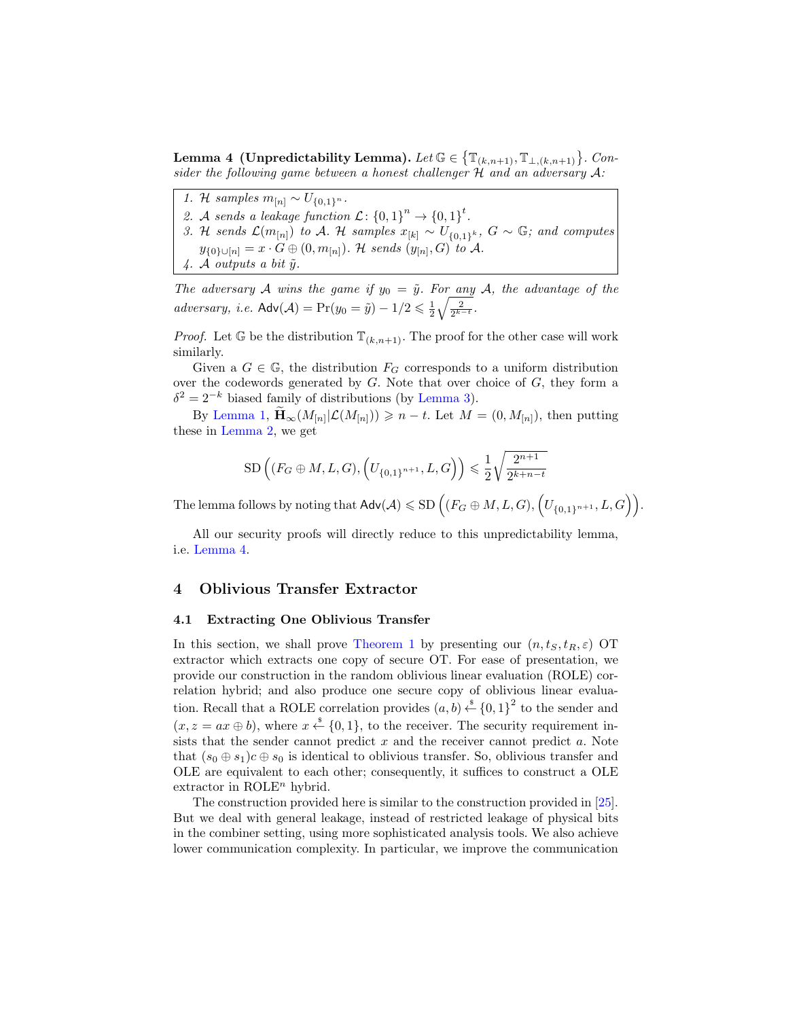Lemma 4 (Unpredictability Lemma). Let  $\mathbb{G} \in \left\{ \mathbb{T}_{(k,n+1)}, \mathbb{T}_{\perp,(k,n+1)} \right\}$ . Consider the following game between a honest challenger  $H$  and an adversary  $A$ :

- 1. H samples  $m_{[n]} \sim U_{\{0,1\}^n}$ .
- 2. A sends a leakage function  $\mathcal{L} \colon \{0,1\}^n \to \{0,1\}^t$ .
- 3. H sends  $\mathcal{L}(m_{[n]})$  to A. H samples  $x_{[k]} \sim U_{\{0,1\}^k}$ ,  $G \sim \mathbb{G}$ ; and computes  $y_{\{0\}\cup[n]}=x\cdot G\oplus(0,m_{[n]})$ . H sends  $(y_{[n]},G)$  to A.
- 4. A outputs a bit  $\tilde{y}$ .

The adversary A wins the game if  $y_0 = \tilde{y}$ . For any A, the advantage of the adversary, i.e.  $\mathsf{Adv}(\mathcal{A}) = \Pr(y_0 = \tilde{y}) - 1/2 \leq \frac{1}{2} \sqrt{\frac{2}{2^{k-t}}}$ .

*Proof.* Let G be the distribution  $\mathbb{T}_{(k,n+1)}$ . The proof for the other case will work similarly.

Given a  $G \in \mathbb{G}$ , the distribution  $F_G$  corresponds to a uniform distribution over the codewords generated by  $G$ . Note that over choice of  $G$ , they form a  $\delta^2 = 2^{-k}$  biased family of distributions (by [Lemma 3\)](#page-11-0).

By [Lemma 1,](#page-7-0)  $\widetilde{\mathbf{H}}_{\infty}(M_{[n]}|\mathcal{L}(M_{[n]})) \geqslant n-t$ . Let  $M = (0, M_{[n]})$ , then putting these in [Lemma 2,](#page-8-0) we get

$$
SD\left((F_G \oplus M, L, G), (U_{\{0,1\}^{n+1}}, L, G)\right) \leq \frac{1}{2} \sqrt{\frac{2^{n+1}}{2^{k+n-t}}}
$$

The lemma follows by noting that  $\mathsf{Adv}(\mathcal{A})\leqslant \mathrm{SD}\left((F_G\oplus M,L,G),\left(U_{\{0,1\}^{n+1}},L,G\right)\right)$ .

All our security proofs will directly reduce to this unpredictability lemma, i.e. [Lemma 4.](#page-11-1)

### 4 Oblivious Transfer Extractor

#### 4.1 Extracting One Oblivious Transfer

In this section, we shall prove [Theorem 1](#page-3-0) by presenting our  $(n, t<sub>S</sub>, t<sub>R</sub>, \varepsilon)$  OT extractor which extracts one copy of secure OT. For ease of presentation, we provide our construction in the random oblivious linear evaluation (ROLE) correlation hybrid; and also produce one secure copy of oblivious linear evaluation. Recall that a ROLE correlation provides  $(a, b) \stackrel{\$}{\leftarrow} \{0, 1\}^2$  to the sender and  $(x, z = ax \oplus b)$ , where  $x \stackrel{\$}{\leftarrow} \{0, 1\}$ , to the receiver. The security requirement insists that the sender cannot predict  $x$  and the receiver cannot predict  $a$ . Note that  $(s_0 \oplus s_1)c \oplus s_0$  is identical to oblivious transfer. So, oblivious transfer and OLE are equivalent to each other; consequently, it suffices to construct a OLE extractor in  $ROLE<sup>n</sup>$  hybrid.

The construction provided here is similar to the construction provided in [\[25\]](#page-19-9). But we deal with general leakage, instead of restricted leakage of physical bits in the combiner setting, using more sophisticated analysis tools. We also achieve lower communication complexity. In particular, we improve the communication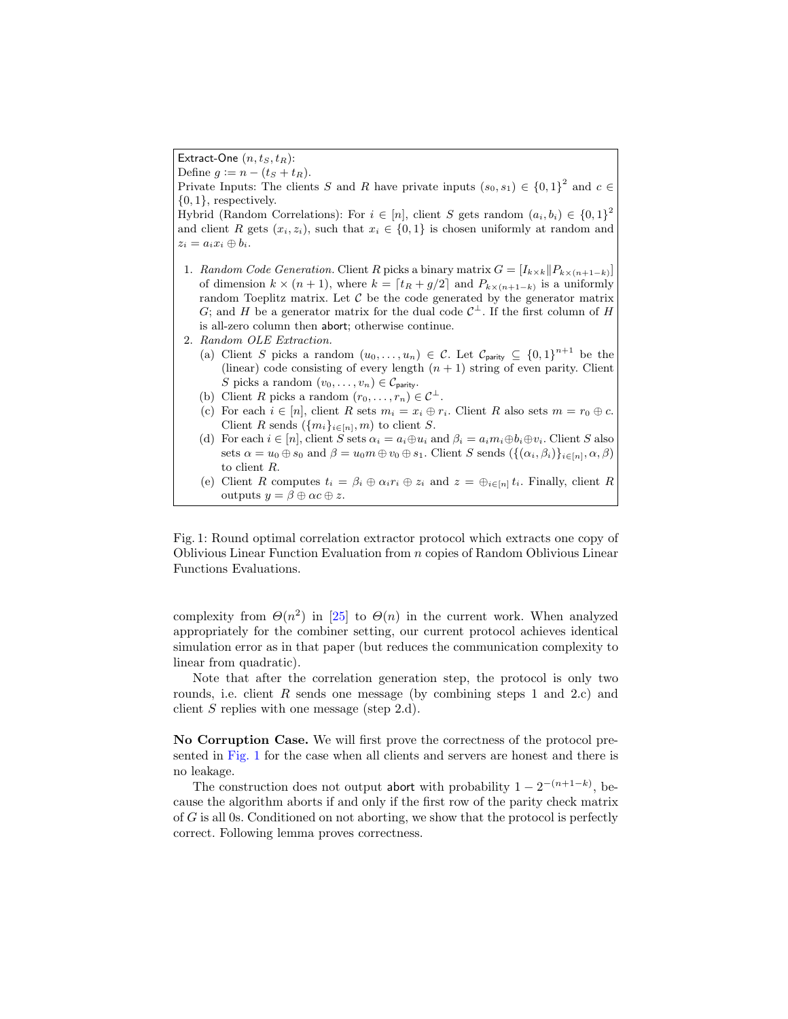<span id="page-13-0"></span>Extract-One  $(n, t_S, t_R)$ :

Define  $g := n - (t_S + t_R)$ . Private Inputs: The clients S and R have private inputs  $(s_0, s_1) \in \{0, 1\}^2$  and  $c \in$  ${0, 1}$ , respectively. Hybrid (Random Correlations): For  $i \in [n]$ , client S gets random  $(a_i, b_i) \in \{0, 1\}^2$ and client R gets  $(x_i, z_i)$ , such that  $x_i \in \{0, 1\}$  is chosen uniformly at random and  $z_i = a_i x_i \oplus b_i.$ 1. Random Code Generation. Client R picks a binary matrix  $G = [I_{k \times k} || P_{k \times (n+1-k)}]$ of dimension  $k \times (n+1)$ , where  $k = \lfloor t_R + g/2 \rfloor$  and  $P_{k \times (n+1-k)}$  is a uniformly random Toeplitz matrix. Let  $C$  be the code generated by the generator matrix G; and H be a generator matrix for the dual code  $\mathcal{C}^{\perp}$ . If the first column of H is all-zero column then abort; otherwise continue. 2. Random OLE Extraction. (a) Client S picks a random  $(u_0, \ldots, u_n) \in \mathcal{C}$ . Let  $\mathcal{C}_{\text{parity}} \subseteq \{0,1\}^{n+1}$  be the (linear) code consisting of every length  $(n + 1)$  string of even parity. Client S picks a random  $(v_0, \ldots, v_n) \in \mathcal{C}_{\text{parity}}$ . (b) Client R picks a random  $(r_0, \ldots, r_n) \in C^{\perp}$ . (c) For each  $i \in [n]$ , client R sets  $m_i = x_i \oplus r_i$ . Client R also sets  $m = r_0 \oplus c$ . Client R sends  $({m_i}_{i \in [n]}, m)$  to client S. (d) For each  $i \in [n]$ , client S sets  $\alpha_i = a_i \oplus u_i$  and  $\beta_i = a_i m_i \oplus b_i \oplus v_i$ . Client S also sets  $\alpha = u_0 \oplus s_0$  and  $\beta = u_0 m \oplus v_0 \oplus s_1$ . Client S sends  $(\{(\alpha_i, \beta_i)\}_{i \in [n]}, \alpha, \beta)$ to client R.

(e) Client R computes  $t_i = \beta_i \oplus \alpha_i r_i \oplus z_i$  and  $z = \bigoplus_{i \in [n]} t_i$ . Finally, client R outputs  $y = \beta \oplus \alpha c \oplus z$ .

Fig. 1: Round optimal correlation extractor protocol which extracts one copy of Oblivious Linear Function Evaluation from n copies of Random Oblivious Linear Functions Evaluations.

complexity from  $\Theta(n^2)$  in [\[25\]](#page-19-9) to  $\Theta(n)$  in the current work. When analyzed appropriately for the combiner setting, our current protocol achieves identical simulation error as in that paper (but reduces the communication complexity to linear from quadratic).

Note that after the correlation generation step, the protocol is only two rounds, i.e. client  $R$  sends one message (by combining steps 1 and 2.c) and client S replies with one message (step 2.d).

No Corruption Case. We will first prove the correctness of the protocol presented in [Fig. 1](#page-13-0) for the case when all clients and servers are honest and there is no leakage.

The construction does not output abort with probability  $1 - 2^{-(n+1-k)}$ , because the algorithm aborts if and only if the first row of the parity check matrix of G is all 0s. Conditioned on not aborting, we show that the protocol is perfectly correct. Following lemma proves correctness.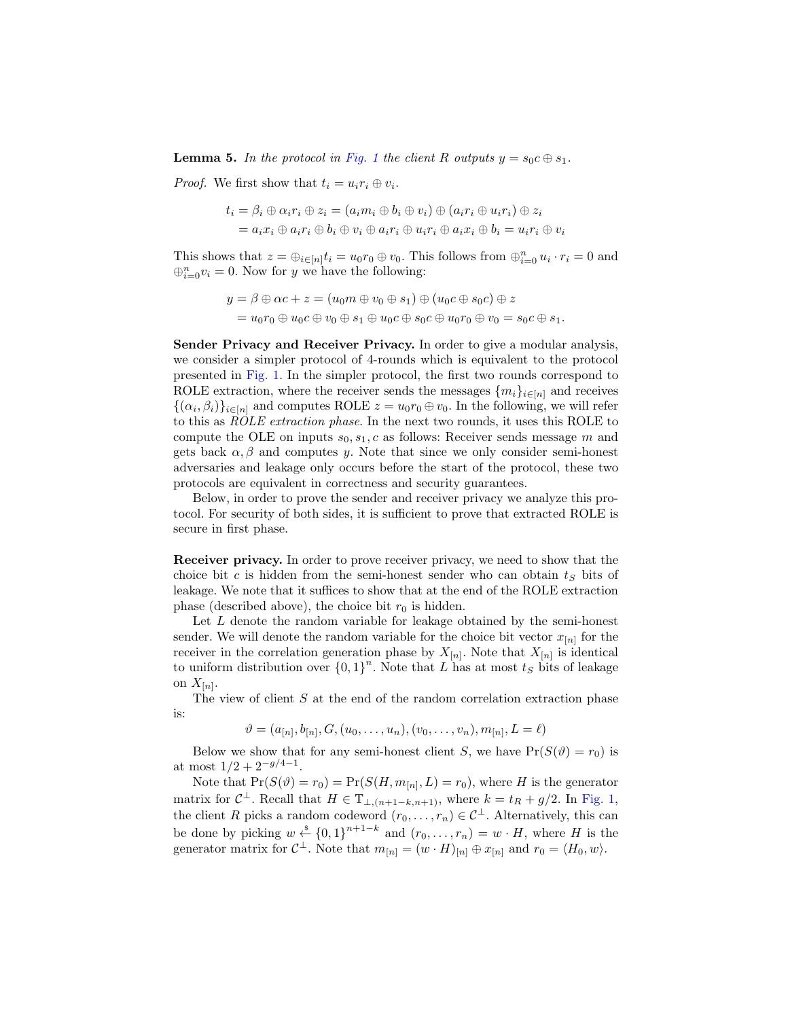**Lemma 5.** In the protocol in [Fig. 1](#page-13-0) the client R outputs  $y = s_0 c \oplus s_1$ .

*Proof.* We first show that  $t_i = u_i r_i \oplus v_i$ .

$$
t_i = \beta_i \oplus \alpha_i r_i \oplus z_i = (a_i m_i \oplus b_i \oplus v_i) \oplus (a_i r_i \oplus u_i r_i) \oplus z_i
$$
  
=  $a_i x_i \oplus a_i r_i \oplus b_i \oplus v_i \oplus a_i r_i \oplus u_i r_i \oplus a_i x_i \oplus b_i = u_i r_i \oplus v_i$ 

This shows that  $z = \bigoplus_{i \in [n]} t_i = u_0 r_0 \oplus v_0$ . This follows from  $\bigoplus_{i=0}^n u_i \cdot r_i = 0$  and  $\bigoplus_{i=0}^n v_i = 0$ . Now for y we have the following:

$$
y = \beta \oplus \alpha c + z = (u_0 m \oplus v_0 \oplus s_1) \oplus (u_0 c \oplus s_0 c) \oplus z
$$
  
=  $u_0 r_0 \oplus u_0 c \oplus v_0 \oplus s_1 \oplus u_0 c \oplus s_0 c \oplus u_0 r_0 \oplus v_0 = s_0 c \oplus s_1.$ 

Sender Privacy and Receiver Privacy. In order to give a modular analysis, we consider a simpler protocol of 4-rounds which is equivalent to the protocol presented in [Fig. 1.](#page-13-0) In the simpler protocol, the first two rounds correspond to ROLE extraction, where the receiver sends the messages  $\{m_i\}_{i\in[n]}$  and receives  $\{(\alpha_i, \beta_i)\}_{i \in [n]}$  and computes ROLE  $z = u_0 r_0 \oplus v_0$ . In the following, we will refer to this as ROLE extraction phase. In the next two rounds, it uses this ROLE to compute the OLE on inputs  $s_0, s_1, c$  as follows: Receiver sends message m and gets back  $\alpha, \beta$  and computes y. Note that since we only consider semi-honest adversaries and leakage only occurs before the start of the protocol, these two protocols are equivalent in correctness and security guarantees.

Below, in order to prove the sender and receiver privacy we analyze this protocol. For security of both sides, it is sufficient to prove that extracted ROLE is secure in first phase.

Receiver privacy. In order to prove receiver privacy, we need to show that the choice bit c is hidden from the semi-honest sender who can obtain  $t<sub>S</sub>$  bits of leakage. We note that it suffices to show that at the end of the ROLE extraction phase (described above), the choice bit  $r_0$  is hidden.

Let  $L$  denote the random variable for leakage obtained by the semi-honest sender. We will denote the random variable for the choice bit vector  $x_{[n]}$  for the receiver in the correlation generation phase by  $X_{[n]}$ . Note that  $X_{[n]}$  is identical to uniform distribution over  ${0,1}^n$ . Note that L has at most  $t_S$  bits of leakage on  $X_{[n]}$ .

The view of client  $S$  at the end of the random correlation extraction phase is:

$$
\vartheta = (a_{[n]}, b_{[n]}, G, (u_0, \dots, u_n), (v_0, \dots, v_n), m_{[n]}, L = \ell)
$$

Below we show that for any semi-honest client S, we have  $Pr(S(\vartheta) = r_0)$  is at most  $1/2 + 2^{-g/4-1}$ .

Note that  $Pr(S(\vartheta) = r_0) = Pr(S(H, m_{[n]}, L) = r_0)$ , where H is the generator matrix for  $C^{\perp}$ . Recall that  $H \in \mathbb{T}_{\perp,(n+1-k,n+1)}$ , where  $k = t_R + g/2$ . In [Fig. 1,](#page-13-0) the client R picks a random codeword  $(r_0, \ldots, r_n) \in C^{\perp}$ . Alternatively, this can be done by picking  $w \stackrel{\hspace{0.1em}\mathsf{\scriptscriptstyle\$}}{\leftarrow} \{0,1\}^{n+1-k}$  and  $(r_0,\ldots,r_n) = w \cdot H$ , where H is the generator matrix for  $C^{\perp}$ . Note that  $m_{[n]} = (w \cdot H)_{[n]} \oplus x_{[n]}$  and  $r_0 = \langle H_0, w \rangle$ .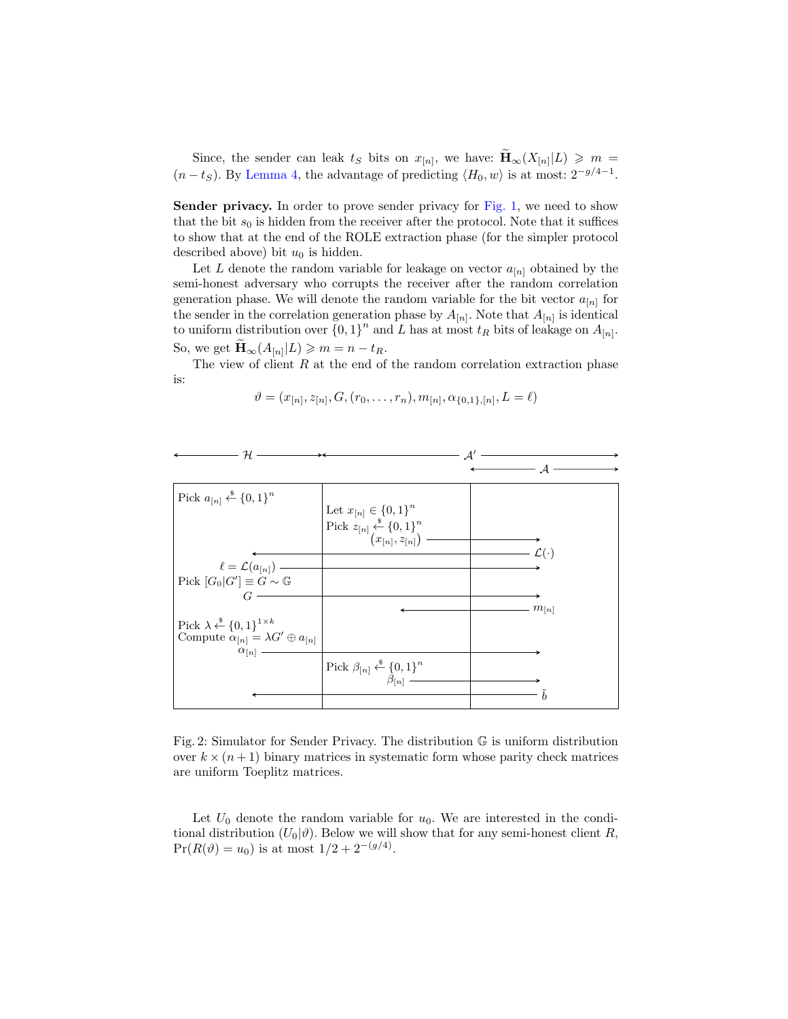Since, the sender can leak  $t_S$  bits on  $x_{[n]}$ , we have:  $\widetilde{\mathbf{H}}_{\infty}(X_{[n]}|L) \geqslant m =$  $(n - t<sub>S</sub>)$ . By [Lemma 4,](#page-11-1) the advantage of predicting  $\langle H_0, w \rangle$  is at most:  $2^{-g/4-1}$ .

Sender privacy. In order to prove sender privacy for [Fig. 1,](#page-13-0) we need to show that the bit  $s_0$  is hidden from the receiver after the protocol. Note that it suffices to show that at the end of the ROLE extraction phase (for the simpler protocol described above) bit  $u_0$  is hidden.

Let L denote the random variable for leakage on vector  $a_{[n]}$  obtained by the semi-honest adversary who corrupts the receiver after the random correlation generation phase. We will denote the random variable for the bit vector  $a_{[n]}$  for the sender in the correlation generation phase by  $A_{[n]}$ . Note that  $A_{[n]}$  is identical to uniform distribution over  $\{0,1\}^n$  and L has at most  $t_R$  bits of leakage on  $A_{[n]}$ . So, we get  $\widetilde{\mathbf{H}}_{\infty}(A_{[n]}|L) \geqslant m = n - t_R$ .

The view of client  $R$  at the end of the random correlation extraction phase is:

$$
\vartheta = (x_{[n]}, z_{[n]}, G, (r_0, \ldots, r_n), m_{[n]}, \alpha_{\{0,1\}, [n]}, L = \ell)
$$

 $\Lambda'$ 

<span id="page-15-0"></span>

| H.                                                            |                                                                                                |                      |
|---------------------------------------------------------------|------------------------------------------------------------------------------------------------|----------------------|
|                                                               |                                                                                                |                      |
|                                                               |                                                                                                |                      |
|                                                               |                                                                                                |                      |
| Pick $a_{[n]} \xleftarrow{\$} \{0,1\}^n$                      |                                                                                                |                      |
|                                                               | Let $x_{[n]} \in \{0,1\}^n$                                                                    |                      |
|                                                               |                                                                                                |                      |
|                                                               | Pick $z_{[n]} \xleftarrow{\$} \{0,1\}^n$<br>$(x_{[n]}, z_{[n]})$                               |                      |
|                                                               |                                                                                                |                      |
|                                                               |                                                                                                | $\mathcal{L}(\cdot)$ |
|                                                               |                                                                                                |                      |
| $\ell = \mathcal{L}(a_{[n]})$ —                               |                                                                                                |                      |
| Pick $[G_0 G'] \equiv G \sim \mathbb{G}$                      |                                                                                                |                      |
| G                                                             |                                                                                                |                      |
|                                                               |                                                                                                |                      |
|                                                               |                                                                                                | $m_{[n]}$            |
| Pick $\lambda \stackrel{\$}{\leftarrow} \{0,1\}^{1 \times k}$ |                                                                                                |                      |
| Compute $\alpha_{[n]} = \lambda G' \oplus a_{[n]}$            |                                                                                                |                      |
| $\alpha_{[n]}$                                                |                                                                                                |                      |
|                                                               |                                                                                                |                      |
|                                                               | Pick $\beta_{[n]} \overset{\hspace{0.1em}\mathsf{\scriptscriptstyle\$}}{\leftarrow} \{0,1\}^n$ |                      |
|                                                               |                                                                                                |                      |
|                                                               |                                                                                                |                      |
|                                                               |                                                                                                |                      |

Fig. 2: Simulator for Sender Privacy. The distribution G is uniform distribution over  $k \times (n+1)$  binary matrices in systematic form whose parity check matrices are uniform Toeplitz matrices.

Let  $U_0$  denote the random variable for  $u_0$ . We are interested in the conditional distribution  $(U_0|\vartheta)$ . Below we will show that for any semi-honest client R,  $Pr(R(\vartheta) = u_0)$  is at most  $1/2 + 2^{-(g/4)}$ .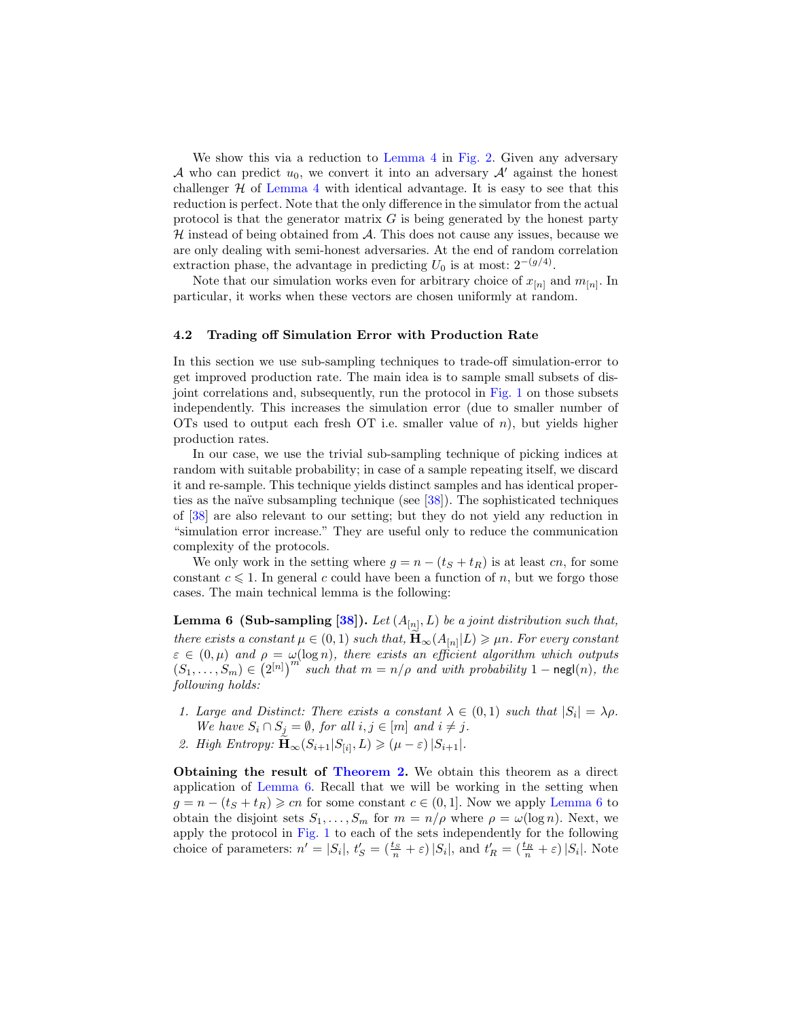We show this via a reduction to [Lemma 4](#page-11-1) in [Fig. 2.](#page-15-0) Given any adversary A who can predict  $u_0$ , we convert it into an adversary  $A'$  against the honest challenger  $H$  of [Lemma 4](#page-11-1) with identical advantage. It is easy to see that this reduction is perfect. Note that the only difference in the simulator from the actual protocol is that the generator matrix  $G$  is being generated by the honest party  $H$  instead of being obtained from  $A$ . This does not cause any issues, because we are only dealing with semi-honest adversaries. At the end of random correlation extraction phase, the advantage in predicting  $U_0$  is at most:  $2^{-(g/4)}$ .

Note that our simulation works even for arbitrary choice of  $x_{[n]}$  and  $m_{[n]}$ . In particular, it works when these vectors are chosen uniformly at random.

#### 4.2 Trading off Simulation Error with Production Rate

In this section we use sub-sampling techniques to trade-off simulation-error to get improved production rate. The main idea is to sample small subsets of disjoint correlations and, subsequently, run the protocol in [Fig. 1](#page-13-0) on those subsets independently. This increases the simulation error (due to smaller number of OTs used to output each fresh OT i.e. smaller value of  $n$ ), but yields higher production rates.

In our case, we use the trivial sub-sampling technique of picking indices at random with suitable probability; in case of a sample repeating itself, we discard it and re-sample. This technique yields distinct samples and has identical properties as the naïve subsampling technique (see  $[38]$ ). The sophisticated techniques of [\[38\]](#page-19-22) are also relevant to our setting; but they do not yield any reduction in "simulation error increase." They are useful only to reduce the communication complexity of the protocols.

We only work in the setting where  $g = n - (t_S + t_R)$  is at least cn, for some constant  $c \leq 1$ . In general c could have been a function of n, but we forgo those cases. The main technical lemma is the following:

<span id="page-16-0"></span>**Lemma 6 (Sub-sampling [\[38\]](#page-19-22)).** Let  $(A_{[n]}, L)$  be a joint distribution such that, there exists a constant  $\mu \in (0, 1)$  such that,  $\widetilde{\mathbf{H}}_{\infty}(A_{[n]}|L) \ge \mu n$ . For every constant  $\varepsilon \in (0,\mu)$  and  $\rho = \omega(\log n)$ , there exists an efficient algorithm which outputs  $(S_1, \ldots, S_m) \in (2^{[n]})^m$  such that  $m = n/\rho$  and with probability  $1 - \text{negl}(n)$ , the following holds:

- 1. Large and Distinct: There exists a constant  $\lambda \in (0,1)$  such that  $|S_i| = \lambda \rho$ . We have  $S_i \cap S_j = \emptyset$ , for all  $i, j \in [m]$  and  $i \neq j$ .
- 2. High Entropy:  $\widetilde{\mathbf{H}}_{\infty}(S_{i+1}|S_{[i]},L) \geqslant (\mu \varepsilon) |S_{i+1}|.$

Obtaining the result of [Theorem 2.](#page-4-0) We obtain this theorem as a direct application of [Lemma 6.](#page-16-0) Recall that we will be working in the setting when  $g = n - (t_S + t_R) \geqslant cn$  for some constant  $c \in (0, 1]$ . Now we apply [Lemma 6](#page-16-0) to obtain the disjoint sets  $S_1, \ldots, S_m$  for  $m = n/\rho$  where  $\rho = \omega(\log n)$ . Next, we apply the protocol in [Fig. 1](#page-13-0) to each of the sets independently for the following choice of parameters:  $n' = |S_i|$ ,  $t'_S = (\frac{t_S}{n} + \varepsilon) |S_i|$ , and  $t'_R = (\frac{t_R}{n} + \varepsilon) |S_i|$ . Note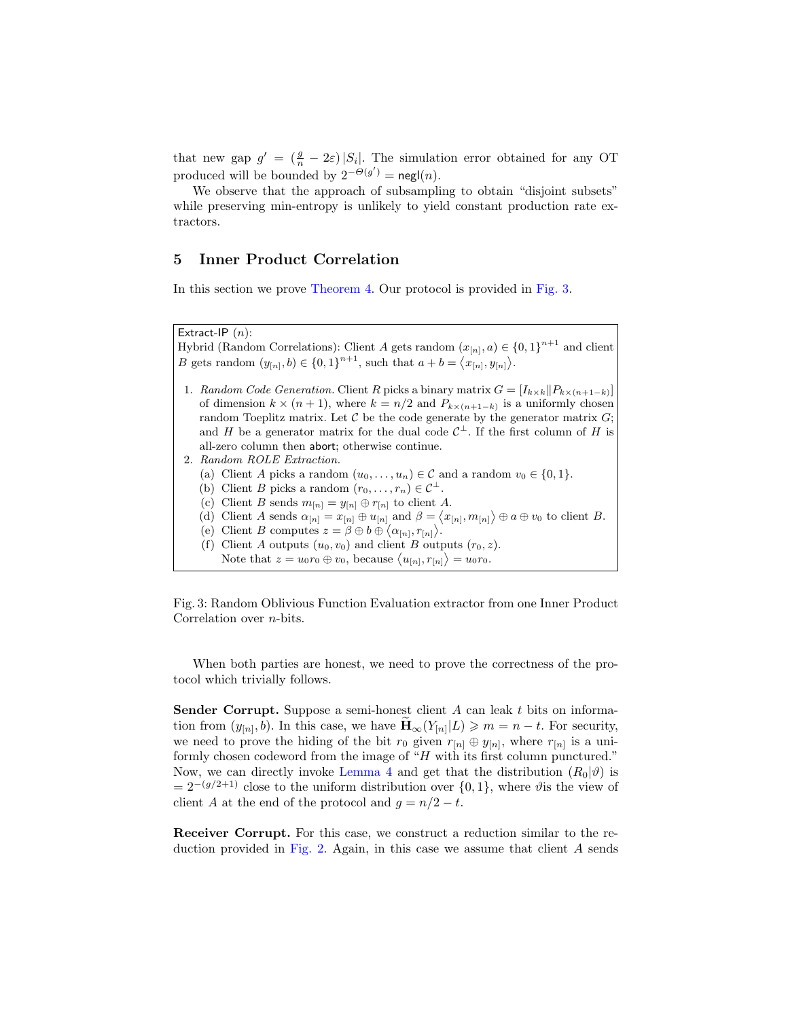that new gap  $g' = \left(\frac{g}{n} - 2\varepsilon\right)|S_i|$ . The simulation error obtained for any OT produced will be bounded by  $2^{-\Theta(g')}$  = negl(n).

We observe that the approach of subsampling to obtain "disjoint subsets" while preserving min-entropy is unlikely to yield constant production rate extractors.

# 5 Inner Product Correlation

In this section we prove [Theorem 4.](#page-5-0) Our protocol is provided in [Fig. 3.](#page-17-0)

<span id="page-17-0"></span>Extract-IP  $(n)$ :

Hybrid (Random Correlations): Client A gets random  $(x_{[n]}, a) \in \{0, 1\}^{n+1}$  and client *B* gets random  $(y_{[n]}, b) \in \{0, 1\}^{n+1}$ , such that  $a + b = \langle x_{[n]}, y_{[n]} \rangle$ .

- 1. Random Code Generation. Client R picks a binary matrix  $G = [I_{k \times k} || P_{k \times (n+1-k)}]$ of dimension  $k \times (n+1)$ , where  $k = n/2$  and  $P_{k \times (n+1-k)}$  is a uniformly chosen random Toeplitz matrix. Let  $\mathcal C$  be the code generate by the generator matrix  $G$ ; and H be a generator matrix for the dual code  $C^{\perp}$ . If the first column of H is all-zero column then abort; otherwise continue.
- 2. Random ROLE Extraction.
	- (a) Client A picks a random  $(u_0, \ldots, u_n) \in \mathcal{C}$  and a random  $v_0 \in \{0, 1\}.$
	- (b) Client B picks a random  $(r_0, \ldots, r_n) \in C^{\perp}$ .
	- (c) Client B sends  $m_{[n]} = y_{[n]} \oplus r_{[n]}$  to client A.
	- (d) Client A sends  $\alpha_{[n]} = x_{[n]} \oplus u_{[n]}$  and  $\beta = \langle x_{[n]}, m_{[n]} \rangle \oplus a \oplus v_0$  to client B.
	- (e) Client B computes  $z = \beta \oplus b \oplus \langle \alpha_{[n]}, r_{[n]} \rangle$ .
	- (f) Client A outputs  $(u_0, v_0)$  and client B outputs  $(r_0, z)$ .
	- Note that  $z = u_0 r_0 \oplus v_0$ , because  $\langle u_{[n]}, r_{[n]} \rangle = u_0 r_0$ .

Fig. 3: Random Oblivious Function Evaluation extractor from one Inner Product Correlation over n-bits.

When both parties are honest, we need to prove the correctness of the protocol which trivially follows.

Sender Corrupt. Suppose a semi-honest client A can leak t bits on information from  $(y_{[n]}, \overline{b})$ . In this case, we have  $\widetilde{\mathbf{H}}_{\infty}(Y_{[n]} | L) \geqslant m = n - t$ . For security, we need to prove the hiding of the bit  $r_0$  given  $r_{[n]} \oplus y_{[n]}$ , where  $r_{[n]}$  is a uniformly chosen codeword from the image of "H with its first column punctured." Now, we can directly invoke [Lemma 4](#page-11-1) and get that the distribution  $(R_0|\vartheta)$  is  $= 2^{-(g/2+1)}$  close to the uniform distribution over  $\{0, 1\}$ , where  $\vartheta$  is the view of client A at the end of the protocol and  $g = n/2 - t$ .

Receiver Corrupt. For this case, we construct a reduction similar to the re-duction provided in [Fig. 2.](#page-15-0) Again, in this case we assume that client  $A$  sends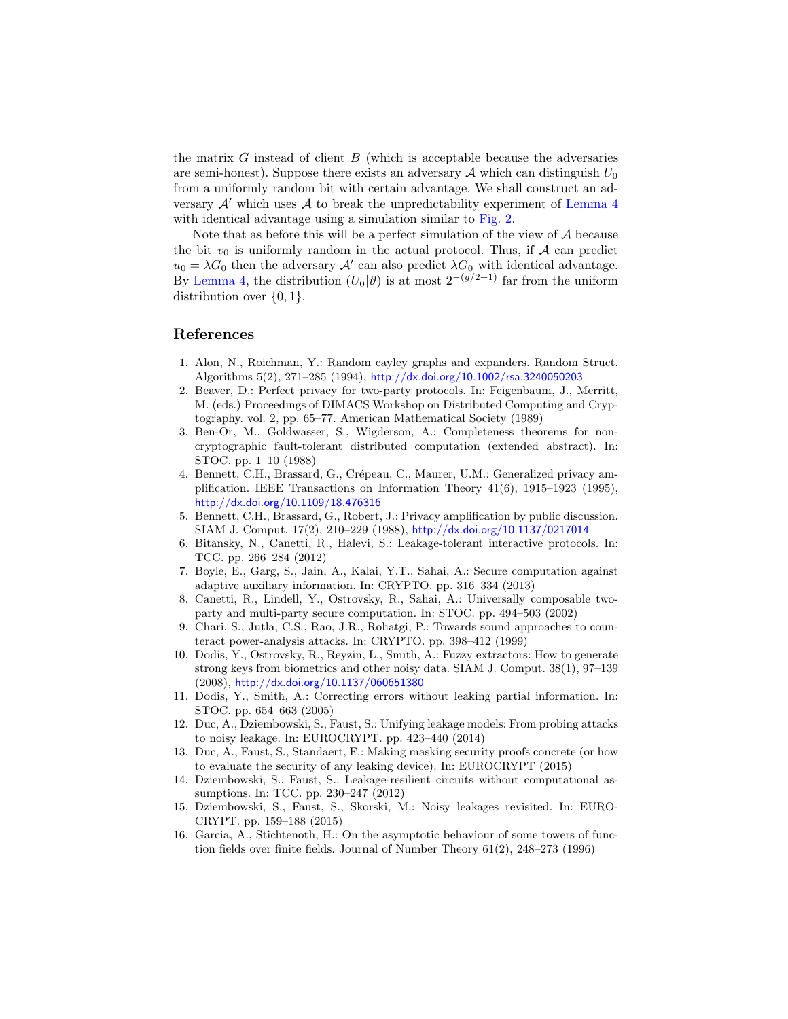the matrix  $G$  instead of client  $B$  (which is acceptable because the adversaries are semi-honest). Suppose there exists an adversary  $A$  which can distinguish  $U_0$ from a uniformly random bit with certain advantage. We shall construct an adversary  $\mathcal{A}'$  which uses  $\mathcal A$  to break the unpredictability experiment of [Lemma 4](#page-11-1) with identical advantage using a simulation similar to [Fig. 2.](#page-15-0)

Note that as before this will be a perfect simulation of the view of  $A$  because the bit  $v_0$  is uniformly random in the actual protocol. Thus, if A can predict  $u_0 = \lambda G_0$  then the adversary  $\mathcal{A}'$  can also predict  $\lambda G_0$  with identical advantage. By [Lemma 4,](#page-11-1) the distribution  $(U_0|\vartheta)$  is at most  $2^{-(g/2+1)}$  far from the uniform distribution over  $\{0, 1\}$ .

# References

- <span id="page-18-11"></span>1. Alon, N., Roichman, Y.: Random cayley graphs and expanders. Random Struct. Algorithms 5(2), 271–285 (1994), <http://dx.doi.org/10.1002/rsa.3240050203>
- <span id="page-18-1"></span>2. Beaver, D.: Perfect privacy for two-party protocols. In: Feigenbaum, J., Merritt, M. (eds.) Proceedings of DIMACS Workshop on Distributed Computing and Cryptography. vol. 2, pp. 65–77. American Mathematical Society (1989)
- <span id="page-18-0"></span>3. Ben-Or, M., Goldwasser, S., Wigderson, A.: Completeness theorems for noncryptographic fault-tolerant distributed computation (extended abstract). In: STOC. pp. 1–10 (1988)
- <span id="page-18-4"></span>4. Bennett, C.H., Brassard, G., Crépeau, C., Maurer, U.M.: Generalized privacy amplification. IEEE Transactions on Information Theory 41(6), 1915–1923 (1995), <http://dx.doi.org/10.1109/18.476316>
- <span id="page-18-3"></span>5. Bennett, C.H., Brassard, G., Robert, J.: Privacy amplification by public discussion. SIAM J. Comput. 17(2), 210–229 (1988), <http://dx.doi.org/10.1137/0217014>
- <span id="page-18-6"></span>6. Bitansky, N., Canetti, R., Halevi, S.: Leakage-tolerant interactive protocols. In: TCC. pp. 266–284 (2012)
- <span id="page-18-7"></span>7. Boyle, E., Garg, S., Jain, A., Kalai, Y.T., Sahai, A.: Secure computation against adaptive auxiliary information. In: CRYPTO. pp. 316–334 (2013)
- <span id="page-18-2"></span>8. Canetti, R., Lindell, Y., Ostrovsky, R., Sahai, A.: Universally composable twoparty and multi-party secure computation. In: STOC. pp. 494–503 (2002)
- <span id="page-18-12"></span>9. Chari, S., Jutla, C.S., Rao, J.R., Rohatgi, P.: Towards sound approaches to counteract power-analysis attacks. In: CRYPTO. pp. 398–412 (1999)
- <span id="page-18-9"></span>10. Dodis, Y., Ostrovsky, R., Reyzin, L., Smith, A.: Fuzzy extractors: How to generate strong keys from biometrics and other noisy data. SIAM J. Comput. 38(1), 97–139 (2008), <http://dx.doi.org/10.1137/060651380>
- <span id="page-18-10"></span>11. Dodis, Y., Smith, A.: Correcting errors without leaking partial information. In: STOC. pp. 654–663 (2005)
- <span id="page-18-13"></span>12. Duc, A., Dziembowski, S., Faust, S.: Unifying leakage models: From probing attacks to noisy leakage. In: EUROCRYPT. pp. 423–440 (2014)
- <span id="page-18-14"></span>13. Duc, A., Faust, S., Standaert, F.: Making masking security proofs concrete (or how to evaluate the security of any leaking device). In: EUROCRYPT (2015)
- <span id="page-18-8"></span>14. Dziembowski, S., Faust, S.: Leakage-resilient circuits without computational assumptions. In: TCC. pp. 230–247 (2012)
- <span id="page-18-15"></span>15. Dziembowski, S., Faust, S., Skorski, M.: Noisy leakages revisited. In: EURO-CRYPT. pp. 159–188 (2015)
- <span id="page-18-5"></span>16. Garcia, A., Stichtenoth, H.: On the asymptotic behaviour of some towers of function fields over finite fields. Journal of Number Theory 61(2), 248–273 (1996)